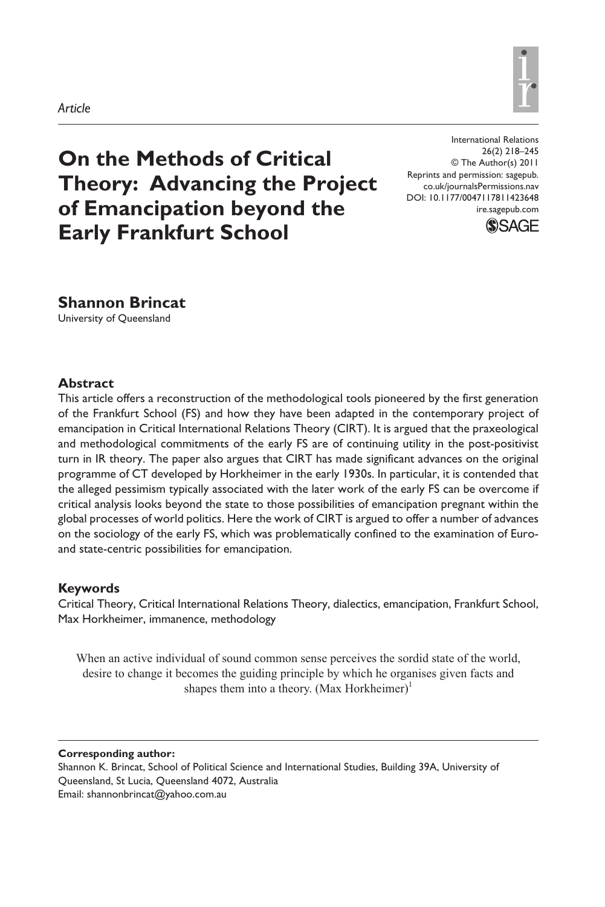

# **On the Methods of Critical Theory: Advancing the Project of Emancipation beyond the Early Frankfurt School**

International Relations 26(2) 218–245 © The Author(s) 2011 Reprints and permission: sagepub. co.uk/journalsPermissions.nav DOI: 10.1177/0047117811423648 ire.sagepub.com **SSAGE** 

**Shannon Brincat**

University of Queensland

#### **Abstract**

This article offers a reconstruction of the methodological tools pioneered by the first generation of the Frankfurt School (FS) and how they have been adapted in the contemporary project of emancipation in Critical International Relations Theory (CIRT). It is argued that the praxeological and methodological commitments of the early FS are of continuing utility in the post-positivist turn in IR theory. The paper also argues that CIRT has made significant advances on the original programme of CT developed by Horkheimer in the early 1930s. In particular, it is contended that the alleged pessimism typically associated with the later work of the early FS can be overcome if critical analysis looks beyond the state to those possibilities of emancipation pregnant within the global processes of world politics. Here the work of CIRT is argued to offer a number of advances on the sociology of the early FS, which was problematically confined to the examination of Euroand state-centric possibilities for emancipation.

#### **Keywords**

Critical Theory, Critical International Relations Theory, dialectics, emancipation, Frankfurt School, Max Horkheimer, immanence, methodology

When an active individual of sound common sense perceives the sordid state of the world, desire to change it becomes the guiding principle by which he organises given facts and shapes them into a theory.  $(Max$  Horkheimer)<sup>1</sup>

**Corresponding author:**

Shannon K. Brincat, School of Political Science and International Studies, Building 39A, University of Queensland, St Lucia, Queensland 4072, Australia Email: shannonbrincat@yahoo.com.au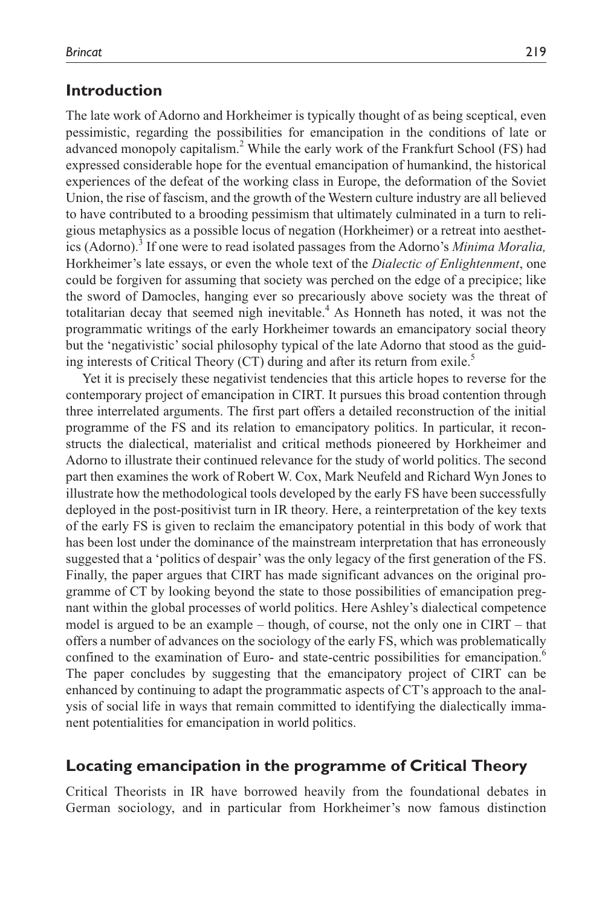#### **Introduction**

The late work of Adorno and Horkheimer is typically thought of as being sceptical, even pessimistic, regarding the possibilities for emancipation in the conditions of late or advanced monopoly capitalism.<sup>2</sup> While the early work of the Frankfurt School (FS) had expressed considerable hope for the eventual emancipation of humankind, the historical experiences of the defeat of the working class in Europe, the deformation of the Soviet Union, the rise of fascism, and the growth of the Western culture industry are all believed to have contributed to a brooding pessimism that ultimately culminated in a turn to religious metaphysics as a possible locus of negation (Horkheimer) or a retreat into aesthetics (Adorno).3 If one were to read isolated passages from the Adorno's *Minima Moralia,* Horkheimer's late essays, or even the whole text of the *Dialectic of Enlightenment*, one could be forgiven for assuming that society was perched on the edge of a precipice; like the sword of Damocles, hanging ever so precariously above society was the threat of totalitarian decay that seemed nigh inevitable.<sup>4</sup> As Honneth has noted, it was not the programmatic writings of the early Horkheimer towards an emancipatory social theory but the 'negativistic' social philosophy typical of the late Adorno that stood as the guiding interests of Critical Theory (CT) during and after its return from exile. $\delta$ 

Yet it is precisely these negativist tendencies that this article hopes to reverse for the contemporary project of emancipation in CIRT. It pursues this broad contention through three interrelated arguments. The first part offers a detailed reconstruction of the initial programme of the FS and its relation to emancipatory politics. In particular, it reconstructs the dialectical, materialist and critical methods pioneered by Horkheimer and Adorno to illustrate their continued relevance for the study of world politics. The second part then examines the work of Robert W. Cox, Mark Neufeld and Richard Wyn Jones to illustrate how the methodological tools developed by the early FS have been successfully deployed in the post-positivist turn in IR theory. Here, a reinterpretation of the key texts of the early FS is given to reclaim the emancipatory potential in this body of work that has been lost under the dominance of the mainstream interpretation that has erroneously suggested that a 'politics of despair' was the only legacy of the first generation of the FS. Finally, the paper argues that CIRT has made significant advances on the original programme of CT by looking beyond the state to those possibilities of emancipation pregnant within the global processes of world politics. Here Ashley's dialectical competence model is argued to be an example – though, of course, not the only one in CIRT – that offers a number of advances on the sociology of the early FS, which was problematically confined to the examination of Euro- and state-centric possibilities for emancipation.<sup>6</sup> The paper concludes by suggesting that the emancipatory project of CIRT can be enhanced by continuing to adapt the programmatic aspects of CT's approach to the analysis of social life in ways that remain committed to identifying the dialectically immanent potentialities for emancipation in world politics.

## **Locating emancipation in the programme of Critical Theory**

Critical Theorists in IR have borrowed heavily from the foundational debates in German sociology, and in particular from Horkheimer's now famous distinction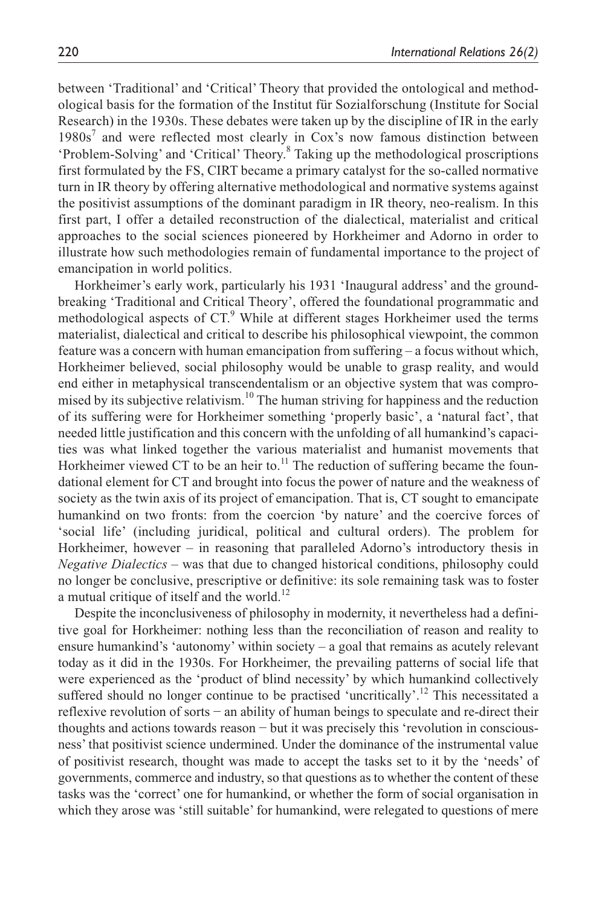between 'Traditional' and 'Critical' Theory that provided the ontological and methodological basis for the formation of the Institut für Sozialforschung (Institute for Social Research) in the 1930s. These debates were taken up by the discipline of IR in the early  $1980s<sup>7</sup>$  and were reflected most clearly in Cox's now famous distinction between 'Problem-Solving' and 'Critical' Theory.<sup>8</sup> Taking up the methodological proscriptions first formulated by the FS, CIRT became a primary catalyst for the so-called normative turn in IR theory by offering alternative methodological and normative systems against the positivist assumptions of the dominant paradigm in IR theory, neo-realism. In this first part, I offer a detailed reconstruction of the dialectical, materialist and critical approaches to the social sciences pioneered by Horkheimer and Adorno in order to illustrate how such methodologies remain of fundamental importance to the project of emancipation in world politics.

Horkheimer's early work, particularly his 1931 'Inaugural address' and the groundbreaking 'Traditional and Critical Theory', offered the foundational programmatic and methodological aspects of CT.<sup>9</sup> While at different stages Horkheimer used the terms materialist, dialectical and critical to describe his philosophical viewpoint, the common feature was a concern with human emancipation from suffering – a focus without which, Horkheimer believed, social philosophy would be unable to grasp reality, and would end either in metaphysical transcendentalism or an objective system that was compromised by its subjective relativism.<sup>10</sup> The human striving for happiness and the reduction of its suffering were for Horkheimer something 'properly basic', a 'natural fact', that needed little justification and this concern with the unfolding of all humankind's capacities was what linked together the various materialist and humanist movements that Horkheimer viewed CT to be an heir to. $11$  The reduction of suffering became the foundational element for CT and brought into focus the power of nature and the weakness of society as the twin axis of its project of emancipation. That is, CT sought to emancipate humankind on two fronts: from the coercion 'by nature' and the coercive forces of 'social life' (including juridical, political and cultural orders). The problem for Horkheimer, however – in reasoning that paralleled Adorno's introductory thesis in *Negative Dialectics* – was that due to changed historical conditions, philosophy could no longer be conclusive, prescriptive or definitive: its sole remaining task was to foster a mutual critique of itself and the world.<sup>12</sup>

Despite the inconclusiveness of philosophy in modernity, it nevertheless had a definitive goal for Horkheimer: nothing less than the reconciliation of reason and reality to ensure humankind's 'autonomy' within society – a goal that remains as acutely relevant today as it did in the 1930s. For Horkheimer, the prevailing patterns of social life that were experienced as the 'product of blind necessity' by which humankind collectively suffered should no longer continue to be practised 'uncritically'.<sup>12</sup> This necessitated a reflexive revolution of sorts − an ability of human beings to speculate and re-direct their thoughts and actions towards reason − but it was precisely this 'revolution in consciousness' that positivist science undermined. Under the dominance of the instrumental value of positivist research, thought was made to accept the tasks set to it by the 'needs' of governments, commerce and industry, so that questions as to whether the content of these tasks was the 'correct' one for humankind, or whether the form of social organisation in which they arose was 'still suitable' for humankind, were relegated to questions of mere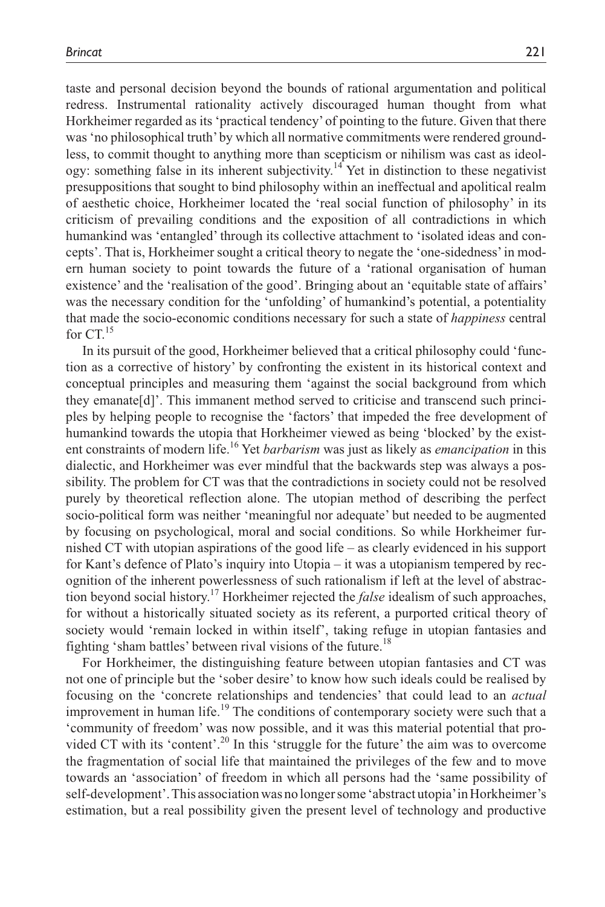taste and personal decision beyond the bounds of rational argumentation and political redress. Instrumental rationality actively discouraged human thought from what Horkheimer regarded as its 'practical tendency' of pointing to the future. Given that there was 'no philosophical truth' by which all normative commitments were rendered groundless, to commit thought to anything more than scepticism or nihilism was cast as ideology: something false in its inherent subjectivity.<sup>14</sup> Yet in distinction to these negativist presuppositions that sought to bind philosophy within an ineffectual and apolitical realm of aesthetic choice, Horkheimer located the 'real social function of philosophy' in its criticism of prevailing conditions and the exposition of all contradictions in which humankind was 'entangled' through its collective attachment to 'isolated ideas and concepts'. That is, Horkheimer sought a critical theory to negate the 'one-sidedness' in modern human society to point towards the future of a 'rational organisation of human existence' and the 'realisation of the good'. Bringing about an 'equitable state of affairs' was the necessary condition for the 'unfolding' of humankind's potential, a potentiality that made the socio-economic conditions necessary for such a state of *happiness* central for  $CT.^{15}$ 

In its pursuit of the good, Horkheimer believed that a critical philosophy could 'function as a corrective of history' by confronting the existent in its historical context and conceptual principles and measuring them 'against the social background from which they emanate[d]'. This immanent method served to criticise and transcend such principles by helping people to recognise the 'factors' that impeded the free development of humankind towards the utopia that Horkheimer viewed as being 'blocked' by the existent constraints of modern life.16 Yet *barbarism* was just as likely as *emancipation* in this dialectic, and Horkheimer was ever mindful that the backwards step was always a possibility. The problem for CT was that the contradictions in society could not be resolved purely by theoretical reflection alone. The utopian method of describing the perfect socio-political form was neither 'meaningful nor adequate' but needed to be augmented by focusing on psychological, moral and social conditions. So while Horkheimer furnished CT with utopian aspirations of the good life – as clearly evidenced in his support for Kant's defence of Plato's inquiry into Utopia – it was a utopianism tempered by recognition of the inherent powerlessness of such rationalism if left at the level of abstraction beyond social history.17 Horkheimer rejected the *false* idealism of such approaches, for without a historically situated society as its referent, a purported critical theory of society would 'remain locked in within itself', taking refuge in utopian fantasies and fighting 'sham battles' between rival visions of the future.<sup>18</sup>

For Horkheimer, the distinguishing feature between utopian fantasies and CT was not one of principle but the 'sober desire' to know how such ideals could be realised by focusing on the 'concrete relationships and tendencies' that could lead to an *actual* improvement in human life.<sup>19</sup> The conditions of contemporary society were such that a 'community of freedom' was now possible, and it was this material potential that provided CT with its 'content'.<sup>20</sup> In this 'struggle for the future' the aim was to overcome the fragmentation of social life that maintained the privileges of the few and to move towards an 'association' of freedom in which all persons had the 'same possibility of self-development'. This association was no longer some 'abstract utopia' in Horkheimer's estimation, but a real possibility given the present level of technology and productive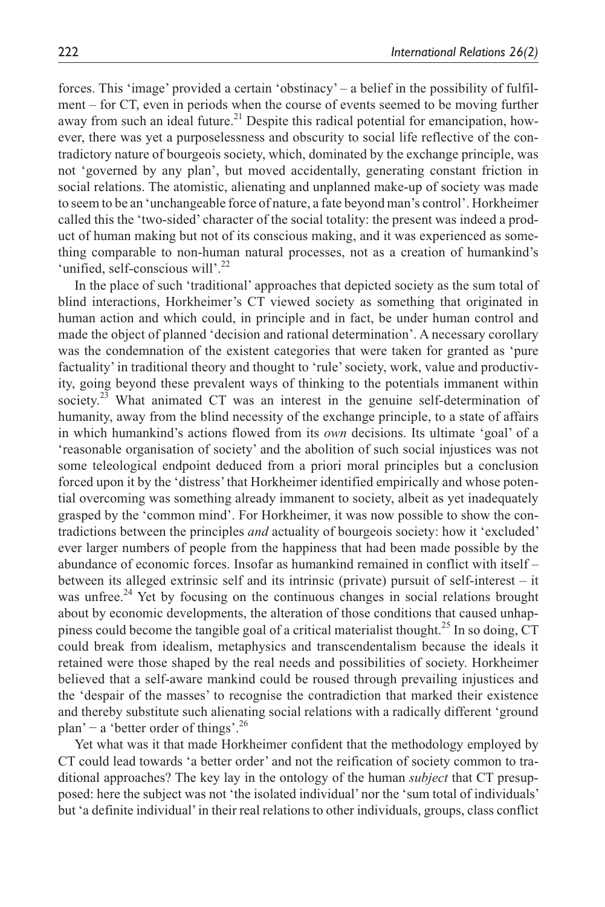forces. This 'image' provided a certain 'obstinacy' – a belief in the possibility of fulfilment – for CT, even in periods when the course of events seemed to be moving further away from such an ideal future.<sup>21</sup> Despite this radical potential for emancipation, however, there was yet a purposelessness and obscurity to social life reflective of the contradictory nature of bourgeois society, which, dominated by the exchange principle, was not 'governed by any plan', but moved accidentally, generating constant friction in social relations. The atomistic, alienating and unplanned make-up of society was made to seem to be an 'unchangeable force of nature, a fate beyond man's control'. Horkheimer called this the 'two-sided' character of the social totality: the present was indeed a product of human making but not of its conscious making, and it was experienced as something comparable to non-human natural processes, not as a creation of humankind's 'unified, self-conscious will'.<sup>22</sup>

In the place of such 'traditional' approaches that depicted society as the sum total of blind interactions, Horkheimer's CT viewed society as something that originated in human action and which could, in principle and in fact, be under human control and made the object of planned 'decision and rational determination'. A necessary corollary was the condemnation of the existent categories that were taken for granted as 'pure factuality' in traditional theory and thought to 'rule' society, work, value and productivity, going beyond these prevalent ways of thinking to the potentials immanent within society. $2^3$  What animated CT was an interest in the genuine self-determination of humanity, away from the blind necessity of the exchange principle, to a state of affairs in which humankind's actions flowed from its *own* decisions. Its ultimate 'goal' of a 'reasonable organisation of society' and the abolition of such social injustices was not some teleological endpoint deduced from a priori moral principles but a conclusion forced upon it by the 'distress' that Horkheimer identified empirically and whose potential overcoming was something already immanent to society, albeit as yet inadequately grasped by the 'common mind'. For Horkheimer, it was now possible to show the contradictions between the principles *and* actuality of bourgeois society: how it 'excluded' ever larger numbers of people from the happiness that had been made possible by the abundance of economic forces. Insofar as humankind remained in conflict with itself – between its alleged extrinsic self and its intrinsic (private) pursuit of self-interest – it was unfree.<sup>24</sup> Yet by focusing on the continuous changes in social relations brought about by economic developments, the alteration of those conditions that caused unhappiness could become the tangible goal of a critical materialist thought.<sup>25</sup> In so doing, CT could break from idealism, metaphysics and transcendentalism because the ideals it retained were those shaped by the real needs and possibilities of society. Horkheimer believed that a self-aware mankind could be roused through prevailing injustices and the 'despair of the masses' to recognise the contradiction that marked their existence and thereby substitute such alienating social relations with a radically different 'ground plan' − a 'better order of things'.<sup>26</sup>

Yet what was it that made Horkheimer confident that the methodology employed by CT could lead towards 'a better order' and not the reification of society common to traditional approaches? The key lay in the ontology of the human *subject* that CT presupposed: here the subject was not 'the isolated individual' nor the 'sum total of individuals' but 'a definite individual' in their real relations to other individuals, groups, class conflict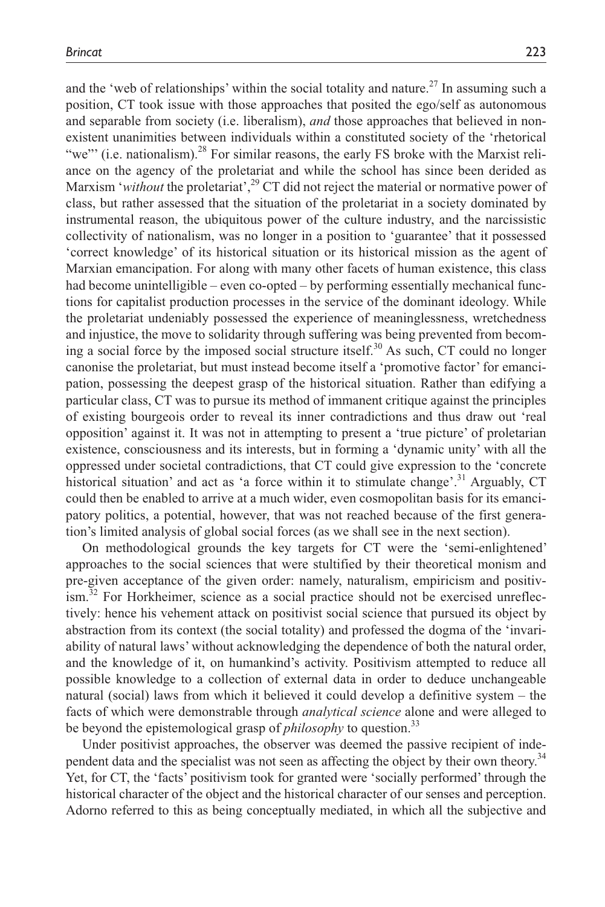and the 'web of relationships' within the social totality and nature.<sup>27</sup> In assuming such a position, CT took issue with those approaches that posited the ego/self as autonomous and separable from society (i.e. liberalism), *and* those approaches that believed in nonexistent unanimities between individuals within a constituted society of the 'rhetorical "we"' (i.e. nationalism). $28$  For similar reasons, the early FS broke with the Marxist reliance on the agency of the proletariat and while the school has since been derided as Marxism '*without* the proletariat',<sup>29</sup> CT did not reject the material or normative power of class, but rather assessed that the situation of the proletariat in a society dominated by instrumental reason, the ubiquitous power of the culture industry, and the narcissistic collectivity of nationalism, was no longer in a position to 'guarantee' that it possessed 'correct knowledge' of its historical situation or its historical mission as the agent of Marxian emancipation. For along with many other facets of human existence, this class had become unintelligible – even co-opted – by performing essentially mechanical functions for capitalist production processes in the service of the dominant ideology. While the proletariat undeniably possessed the experience of meaninglessness, wretchedness and injustice, the move to solidarity through suffering was being prevented from becoming a social force by the imposed social structure itself.<sup>30</sup> As such, CT could no longer canonise the proletariat, but must instead become itself a 'promotive factor' for emancipation, possessing the deepest grasp of the historical situation. Rather than edifying a particular class, CT was to pursue its method of immanent critique against the principles of existing bourgeois order to reveal its inner contradictions and thus draw out 'real opposition' against it. It was not in attempting to present a 'true picture' of proletarian existence, consciousness and its interests, but in forming a 'dynamic unity' with all the oppressed under societal contradictions, that CT could give expression to the 'concrete historical situation' and act as 'a force within it to stimulate change'.<sup>31</sup> Arguably, CT could then be enabled to arrive at a much wider, even cosmopolitan basis for its emancipatory politics, a potential, however, that was not reached because of the first generation's limited analysis of global social forces (as we shall see in the next section).

On methodological grounds the key targets for CT were the 'semi-enlightened' approaches to the social sciences that were stultified by their theoretical monism and pre-given acceptance of the given order: namely, naturalism, empiricism and positivism.32 For Horkheimer, science as a social practice should not be exercised unreflectively: hence his vehement attack on positivist social science that pursued its object by abstraction from its context (the social totality) and professed the dogma of the 'invariability of natural laws' without acknowledging the dependence of both the natural order, and the knowledge of it, on humankind's activity. Positivism attempted to reduce all possible knowledge to a collection of external data in order to deduce unchangeable natural (social) laws from which it believed it could develop a definitive system – the facts of which were demonstrable through *analytical science* alone and were alleged to be beyond the epistemological grasp of *philosophy* to question.<sup>33</sup>

Under positivist approaches, the observer was deemed the passive recipient of independent data and the specialist was not seen as affecting the object by their own theory.<sup>34</sup> Yet, for CT, the 'facts' positivism took for granted were 'socially performed' through the historical character of the object and the historical character of our senses and perception. Adorno referred to this as being conceptually mediated, in which all the subjective and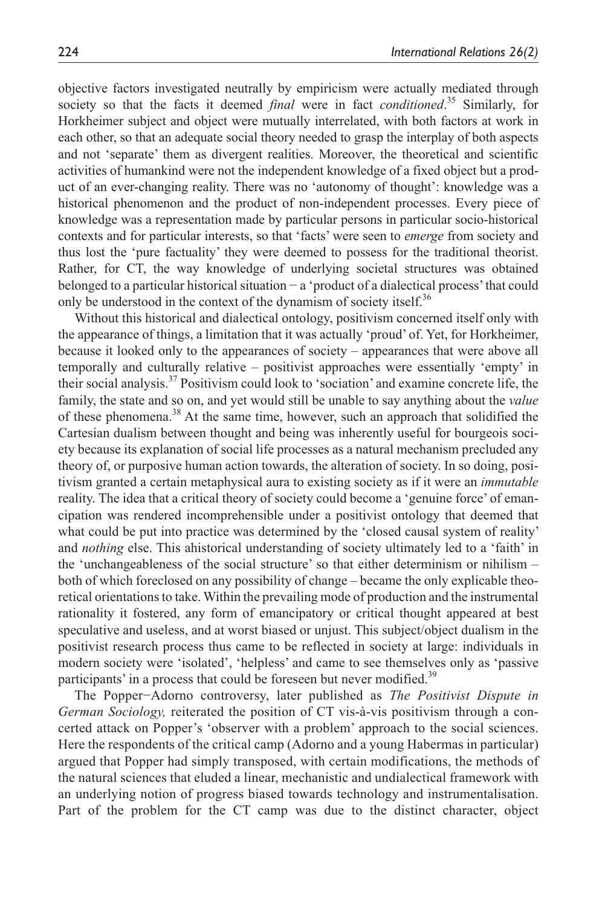objective factors investigated neutrally by empiricism were actually mediated through society so that the facts it deemed *final* were in fact *conditioned*. 35 Similarly, for Horkheimer subject and object were mutually interrelated, with both factors at work in each other, so that an adequate social theory needed to grasp the interplay of both aspects and not 'separate' them as divergent realities. Moreover, the theoretical and scientific activities of humankind were not the independent knowledge of a fixed object but a product of an ever-changing reality. There was no 'autonomy of thought': knowledge was a historical phenomenon and the product of non-independent processes. Every piece of knowledge was a representation made by particular persons in particular socio-historical contexts and for particular interests, so that 'facts' were seen to *emerge* from society and thus lost the 'pure factuality' they were deemed to possess for the traditional theorist. Rather, for CT, the way knowledge of underlying societal structures was obtained belonged to a particular historical situation − a 'product of a dialectical process' that could only be understood in the context of the dynamism of society itself.<sup>36</sup>

Without this historical and dialectical ontology, positivism concerned itself only with the appearance of things, a limitation that it was actually 'proud' of. Yet, for Horkheimer, because it looked only to the appearances of society – appearances that were above all temporally and culturally relative – positivist approaches were essentially 'empty' in their social analysis.37 Positivism could look to 'sociation' and examine concrete life, the family, the state and so on, and yet would still be unable to say anything about the *value* of these phenomena.38 At the same time, however, such an approach that solidified the Cartesian dualism between thought and being was inherently useful for bourgeois society because its explanation of social life processes as a natural mechanism precluded any theory of, or purposive human action towards, the alteration of society. In so doing, positivism granted a certain metaphysical aura to existing society as if it were an *immutable* reality. The idea that a critical theory of society could become a 'genuine force' of emancipation was rendered incomprehensible under a positivist ontology that deemed that what could be put into practice was determined by the 'closed causal system of reality' and *nothing* else. This ahistorical understanding of society ultimately led to a 'faith' in the 'unchangeableness of the social structure' so that either determinism or nihilism – both of which foreclosed on any possibility of change – became the only explicable theoretical orientations to take. Within the prevailing mode of production and the instrumental rationality it fostered, any form of emancipatory or critical thought appeared at best speculative and useless, and at worst biased or unjust. This subject/object dualism in the positivist research process thus came to be reflected in society at large: individuals in modern society were 'isolated', 'helpless' and came to see themselves only as 'passive participants' in a process that could be foreseen but never modified.<sup>39</sup>

The Popper−Adorno controversy, later published as *The Positivist Dispute in German Sociology,* reiterated the position of CT vis-à-vis positivism through a concerted attack on Popper's 'observer with a problem' approach to the social sciences. Here the respondents of the critical camp (Adorno and a young Habermas in particular) argued that Popper had simply transposed, with certain modifications, the methods of the natural sciences that eluded a linear, mechanistic and undialectical framework with an underlying notion of progress biased towards technology and instrumentalisation. Part of the problem for the CT camp was due to the distinct character, object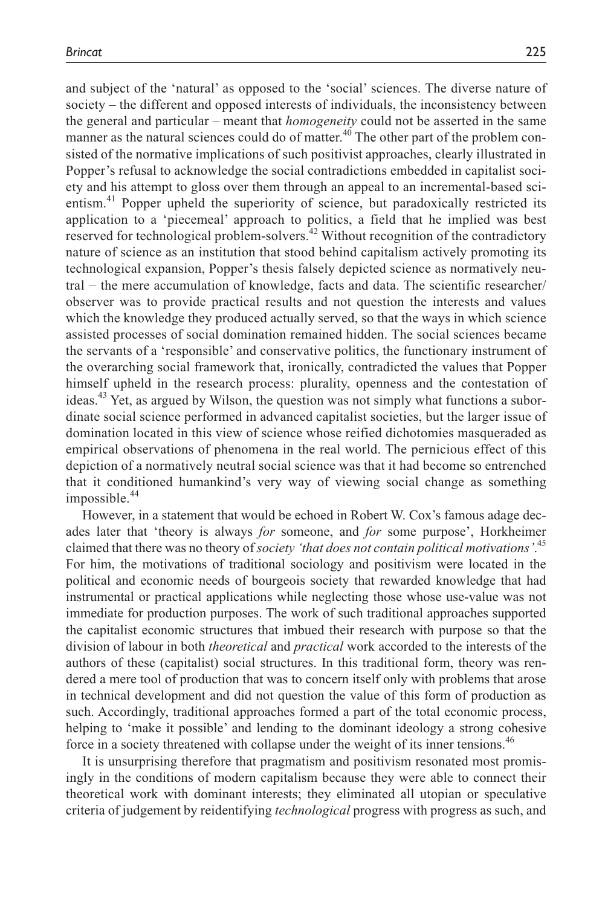and subject of the 'natural' as opposed to the 'social' sciences. The diverse nature of society – the different and opposed interests of individuals, the inconsistency between the general and particular – meant that *homogeneity* could not be asserted in the same manner as the natural sciences could do of matter.<sup>40</sup> The other part of the problem consisted of the normative implications of such positivist approaches, clearly illustrated in Popper's refusal to acknowledge the social contradictions embedded in capitalist society and his attempt to gloss over them through an appeal to an incremental-based scientism.<sup>41</sup> Popper upheld the superiority of science, but paradoxically restricted its application to a 'piecemeal' approach to politics, a field that he implied was best reserved for technological problem-solvers.<sup>42</sup> Without recognition of the contradictory nature of science as an institution that stood behind capitalism actively promoting its technological expansion, Popper's thesis falsely depicted science as normatively neutral − the mere accumulation of knowledge, facts and data. The scientific researcher/ observer was to provide practical results and not question the interests and values which the knowledge they produced actually served, so that the ways in which science assisted processes of social domination remained hidden. The social sciences became the servants of a 'responsible' and conservative politics, the functionary instrument of the overarching social framework that, ironically, contradicted the values that Popper himself upheld in the research process: plurality, openness and the contestation of ideas.43 Yet, as argued by Wilson, the question was not simply what functions a subordinate social science performed in advanced capitalist societies, but the larger issue of domination located in this view of science whose reified dichotomies masqueraded as empirical observations of phenomena in the real world. The pernicious effect of this depiction of a normatively neutral social science was that it had become so entrenched that it conditioned humankind's very way of viewing social change as something impossible.<sup>44</sup>

However, in a statement that would be echoed in Robert W. Cox's famous adage decades later that 'theory is always *for* someone, and *for* some purpose', Horkheimer claimed that there was no theory of *society 'that does not contain political motivations'*. 45 For him, the motivations of traditional sociology and positivism were located in the political and economic needs of bourgeois society that rewarded knowledge that had instrumental or practical applications while neglecting those whose use-value was not immediate for production purposes. The work of such traditional approaches supported the capitalist economic structures that imbued their research with purpose so that the division of labour in both *theoretical* and *practical* work accorded to the interests of the authors of these (capitalist) social structures. In this traditional form, theory was rendered a mere tool of production that was to concern itself only with problems that arose in technical development and did not question the value of this form of production as such. Accordingly, traditional approaches formed a part of the total economic process, helping to 'make it possible' and lending to the dominant ideology a strong cohesive force in a society threatened with collapse under the weight of its inner tensions.<sup>46</sup>

It is unsurprising therefore that pragmatism and positivism resonated most promisingly in the conditions of modern capitalism because they were able to connect their theoretical work with dominant interests; they eliminated all utopian or speculative criteria of judgement by reidentifying *technological* progress with progress as such, and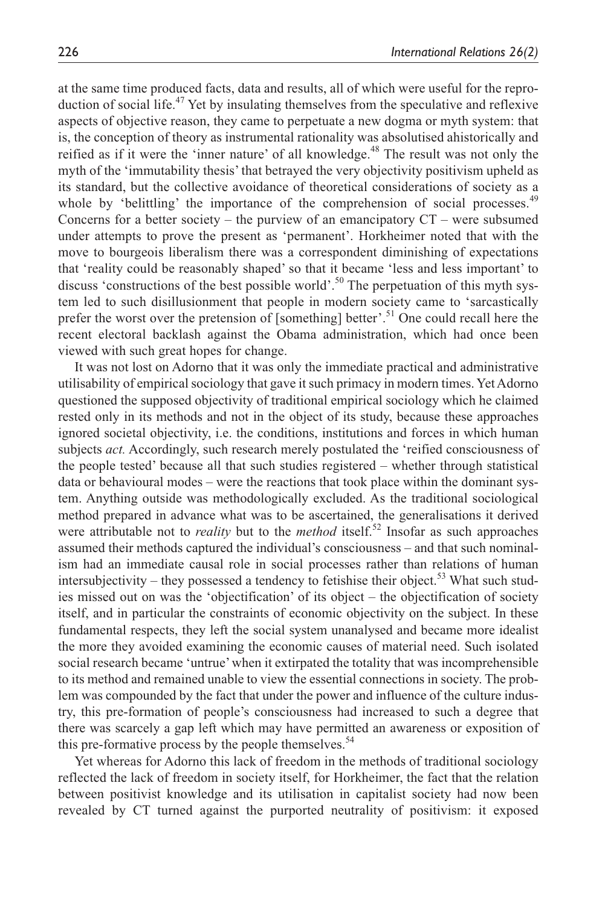at the same time produced facts, data and results, all of which were useful for the reproduction of social life.<sup>47</sup> Yet by insulating themselves from the speculative and reflexive aspects of objective reason, they came to perpetuate a new dogma or myth system: that is, the conception of theory as instrumental rationality was absolutised ahistorically and reified as if it were the 'inner nature' of all knowledge.<sup>48</sup> The result was not only the myth of the 'immutability thesis' that betrayed the very objectivity positivism upheld as its standard, but the collective avoidance of theoretical considerations of society as a whole by 'belittling' the importance of the comprehension of social processes. $49$ Concerns for a better society – the purview of an emancipatory  $CT$  – were subsumed under attempts to prove the present as 'permanent'. Horkheimer noted that with the move to bourgeois liberalism there was a correspondent diminishing of expectations that 'reality could be reasonably shaped' so that it became 'less and less important' to discuss 'constructions of the best possible world'.<sup>50</sup> The perpetuation of this myth system led to such disillusionment that people in modern society came to 'sarcastically prefer the worst over the pretension of [something] better'.<sup>51</sup> One could recall here the recent electoral backlash against the Obama administration, which had once been viewed with such great hopes for change.

It was not lost on Adorno that it was only the immediate practical and administrative utilisability of empirical sociology that gave it such primacy in modern times. Yet Adorno questioned the supposed objectivity of traditional empirical sociology which he claimed rested only in its methods and not in the object of its study, because these approaches ignored societal objectivity, i.e. the conditions, institutions and forces in which human subjects *act*. Accordingly, such research merely postulated the 'reified consciousness of the people tested' because all that such studies registered – whether through statistical data or behavioural modes – were the reactions that took place within the dominant system. Anything outside was methodologically excluded. As the traditional sociological method prepared in advance what was to be ascertained, the generalisations it derived were attributable not to *reality* but to the *method* itself.<sup>52</sup> Insofar as such approaches assumed their methods captured the individual's consciousness – and that such nominalism had an immediate causal role in social processes rather than relations of human intersubjectivity – they possessed a tendency to fetishise their object.<sup>53</sup> What such studies missed out on was the 'objectification' of its object – the objectification of society itself, and in particular the constraints of economic objectivity on the subject. In these fundamental respects, they left the social system unanalysed and became more idealist the more they avoided examining the economic causes of material need. Such isolated social research became 'untrue' when it extirpated the totality that was incomprehensible to its method and remained unable to view the essential connections in society. The problem was compounded by the fact that under the power and influence of the culture industry, this pre-formation of people's consciousness had increased to such a degree that there was scarcely a gap left which may have permitted an awareness or exposition of this pre-formative process by the people themselves.<sup>54</sup>

Yet whereas for Adorno this lack of freedom in the methods of traditional sociology reflected the lack of freedom in society itself, for Horkheimer, the fact that the relation between positivist knowledge and its utilisation in capitalist society had now been revealed by CT turned against the purported neutrality of positivism: it exposed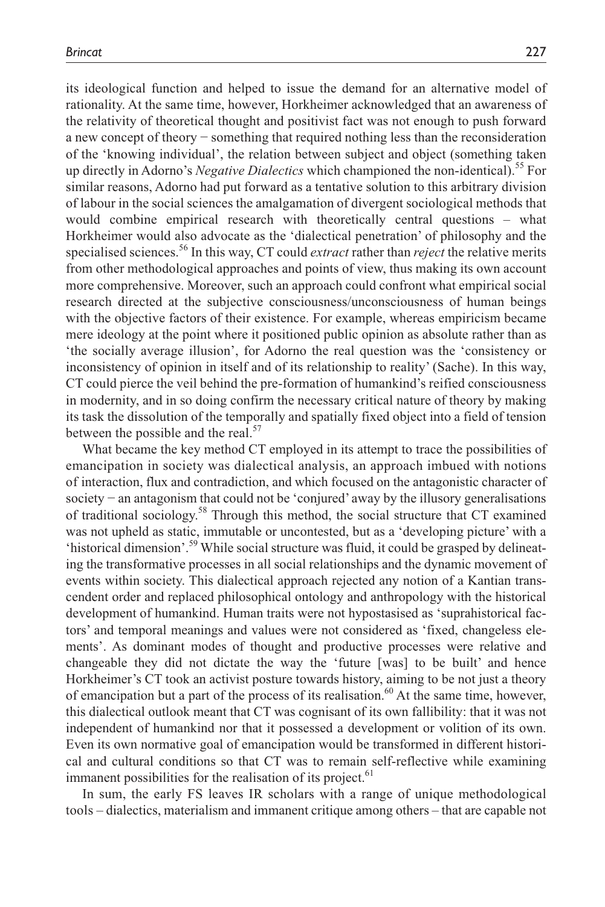its ideological function and helped to issue the demand for an alternative model of rationality. At the same time, however, Horkheimer acknowledged that an awareness of the relativity of theoretical thought and positivist fact was not enough to push forward a new concept of theory − something that required nothing less than the reconsideration of the 'knowing individual', the relation between subject and object (something taken up directly in Adorno's *Negative Dialectics* which championed the non-identical).55 For similar reasons, Adorno had put forward as a tentative solution to this arbitrary division of labour in the social sciences the amalgamation of divergent sociological methods that would combine empirical research with theoretically central questions – what Horkheimer would also advocate as the 'dialectical penetration' of philosophy and the specialised sciences.56 In this way, CT could *extract* rather than *reject* the relative merits from other methodological approaches and points of view, thus making its own account more comprehensive. Moreover, such an approach could confront what empirical social research directed at the subjective consciousness/unconsciousness of human beings with the objective factors of their existence. For example, whereas empiricism became mere ideology at the point where it positioned public opinion as absolute rather than as 'the socially average illusion', for Adorno the real question was the 'consistency or inconsistency of opinion in itself and of its relationship to reality' (Sache). In this way, CT could pierce the veil behind the pre-formation of humankind's reified consciousness in modernity, and in so doing confirm the necessary critical nature of theory by making its task the dissolution of the temporally and spatially fixed object into a field of tension between the possible and the real.<sup>57</sup>

What became the key method CT employed in its attempt to trace the possibilities of emancipation in society was dialectical analysis, an approach imbued with notions of interaction, flux and contradiction, and which focused on the antagonistic character of society – an antagonism that could not be 'conjured' away by the illusory generalisations of traditional sociology.58 Through this method, the social structure that CT examined was not upheld as static, immutable or uncontested, but as a 'developing picture' with a 'historical dimension'.59 While social structure was fluid, it could be grasped by delineating the transformative processes in all social relationships and the dynamic movement of events within society. This dialectical approach rejected any notion of a Kantian transcendent order and replaced philosophical ontology and anthropology with the historical development of humankind. Human traits were not hypostasised as 'suprahistorical factors' and temporal meanings and values were not considered as 'fixed, changeless elements'. As dominant modes of thought and productive processes were relative and changeable they did not dictate the way the 'future [was] to be built' and hence Horkheimer's CT took an activist posture towards history, aiming to be not just a theory of emancipation but a part of the process of its realisation.<sup>60</sup> At the same time, however, this dialectical outlook meant that CT was cognisant of its own fallibility: that it was not independent of humankind nor that it possessed a development or volition of its own. Even its own normative goal of emancipation would be transformed in different historical and cultural conditions so that CT was to remain self-reflective while examining immanent possibilities for the realisation of its project.<sup>61</sup>

In sum, the early FS leaves IR scholars with a range of unique methodological tools – dialectics, materialism and immanent critique among others – that are capable not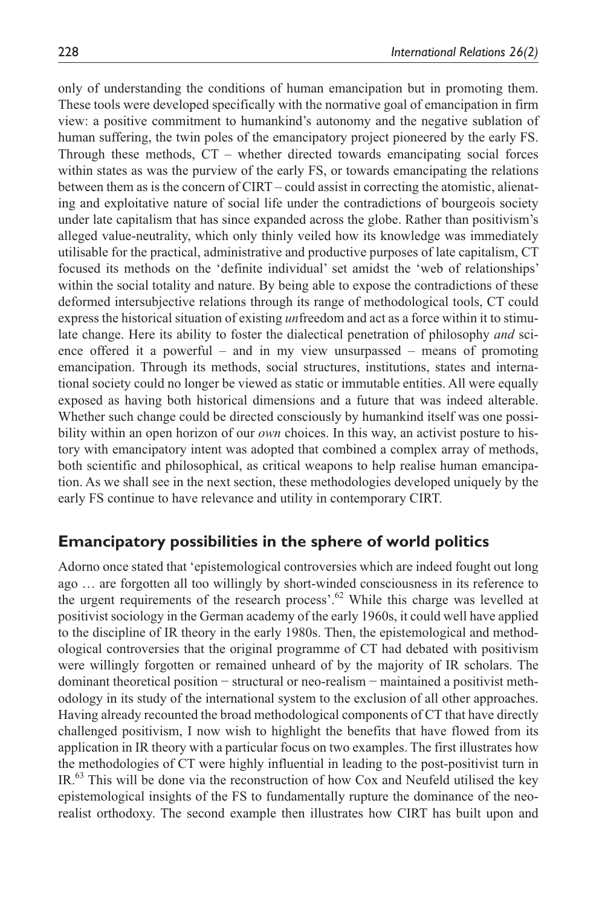only of understanding the conditions of human emancipation but in promoting them. These tools were developed specifically with the normative goal of emancipation in firm view: a positive commitment to humankind's autonomy and the negative sublation of human suffering, the twin poles of the emancipatory project pioneered by the early FS. Through these methods, CT – whether directed towards emancipating social forces within states as was the purview of the early FS, or towards emancipating the relations between them as is the concern of CIRT – could assist in correcting the atomistic, alienating and exploitative nature of social life under the contradictions of bourgeois society under late capitalism that has since expanded across the globe. Rather than positivism's alleged value-neutrality, which only thinly veiled how its knowledge was immediately utilisable for the practical, administrative and productive purposes of late capitalism, CT focused its methods on the 'definite individual' set amidst the 'web of relationships' within the social totality and nature. By being able to expose the contradictions of these deformed intersubjective relations through its range of methodological tools, CT could express the historical situation of existing *un*freedom and act as a force within it to stimulate change. Here its ability to foster the dialectical penetration of philosophy *and* science offered it a powerful – and in my view unsurpassed – means of promoting emancipation. Through its methods, social structures, institutions, states and international society could no longer be viewed as static or immutable entities. All were equally exposed as having both historical dimensions and a future that was indeed alterable. Whether such change could be directed consciously by humankind itself was one possibility within an open horizon of our *own* choices. In this way, an activist posture to history with emancipatory intent was adopted that combined a complex array of methods, both scientific and philosophical, as critical weapons to help realise human emancipation. As we shall see in the next section, these methodologies developed uniquely by the early FS continue to have relevance and utility in contemporary CIRT.

## **Emancipatory possibilities in the sphere of world politics**

Adorno once stated that 'epistemological controversies which are indeed fought out long ago … are forgotten all too willingly by short-winded consciousness in its reference to the urgent requirements of the research process'.<sup>62</sup> While this charge was levelled at positivist sociology in the German academy of the early 1960s, it could well have applied to the discipline of IR theory in the early 1980s. Then, the epistemological and methodological controversies that the original programme of CT had debated with positivism were willingly forgotten or remained unheard of by the majority of IR scholars. The dominant theoretical position − structural or neo-realism − maintained a positivist methodology in its study of the international system to the exclusion of all other approaches. Having already recounted the broad methodological components of CT that have directly challenged positivism, I now wish to highlight the benefits that have flowed from its application in IR theory with a particular focus on two examples. The first illustrates how the methodologies of CT were highly influential in leading to the post-positivist turn in IR.<sup>63</sup> This will be done via the reconstruction of how Cox and Neufeld utilised the key epistemological insights of the FS to fundamentally rupture the dominance of the neorealist orthodoxy. The second example then illustrates how CIRT has built upon and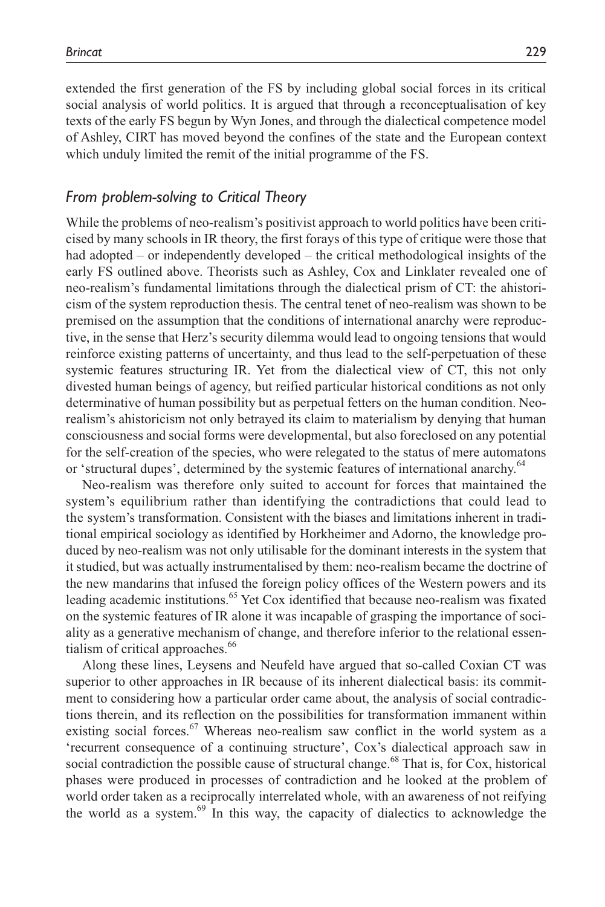extended the first generation of the FS by including global social forces in its critical social analysis of world politics. It is argued that through a reconceptualisation of key texts of the early FS begun by Wyn Jones, and through the dialectical competence model of Ashley, CIRT has moved beyond the confines of the state and the European context which unduly limited the remit of the initial programme of the FS.

#### *From problem-solving to Critical Theory*

While the problems of neo-realism's positivist approach to world politics have been criticised by many schools in IR theory, the first forays of this type of critique were those that had adopted – or independently developed – the critical methodological insights of the early FS outlined above. Theorists such as Ashley, Cox and Linklater revealed one of neo-realism's fundamental limitations through the dialectical prism of CT: the ahistoricism of the system reproduction thesis. The central tenet of neo-realism was shown to be premised on the assumption that the conditions of international anarchy were reproductive, in the sense that Herz's security dilemma would lead to ongoing tensions that would reinforce existing patterns of uncertainty, and thus lead to the self-perpetuation of these systemic features structuring IR. Yet from the dialectical view of CT, this not only divested human beings of agency, but reified particular historical conditions as not only determinative of human possibility but as perpetual fetters on the human condition. Neorealism's ahistoricism not only betrayed its claim to materialism by denying that human consciousness and social forms were developmental, but also foreclosed on any potential for the self-creation of the species, who were relegated to the status of mere automatons or 'structural dupes', determined by the systemic features of international anarchy.<sup>64</sup>

Neo-realism was therefore only suited to account for forces that maintained the system's equilibrium rather than identifying the contradictions that could lead to the system's transformation. Consistent with the biases and limitations inherent in traditional empirical sociology as identified by Horkheimer and Adorno, the knowledge produced by neo-realism was not only utilisable for the dominant interests in the system that it studied, but was actually instrumentalised by them: neo-realism became the doctrine of the new mandarins that infused the foreign policy offices of the Western powers and its leading academic institutions.65 Yet Cox identified that because neo-realism was fixated on the systemic features of IR alone it was incapable of grasping the importance of sociality as a generative mechanism of change, and therefore inferior to the relational essentialism of critical approaches.<sup>66</sup>

Along these lines, Leysens and Neufeld have argued that so-called Coxian CT was superior to other approaches in IR because of its inherent dialectical basis: its commitment to considering how a particular order came about, the analysis of social contradictions therein, and its reflection on the possibilities for transformation immanent within existing social forces. $67$  Whereas neo-realism saw conflict in the world system as a 'recurrent consequence of a continuing structure', Cox's dialectical approach saw in social contradiction the possible cause of structural change.<sup>68</sup> That is, for Cox, historical phases were produced in processes of contradiction and he looked at the problem of world order taken as a reciprocally interrelated whole, with an awareness of not reifying the world as a system.<sup>69</sup> In this way, the capacity of dialectics to acknowledge the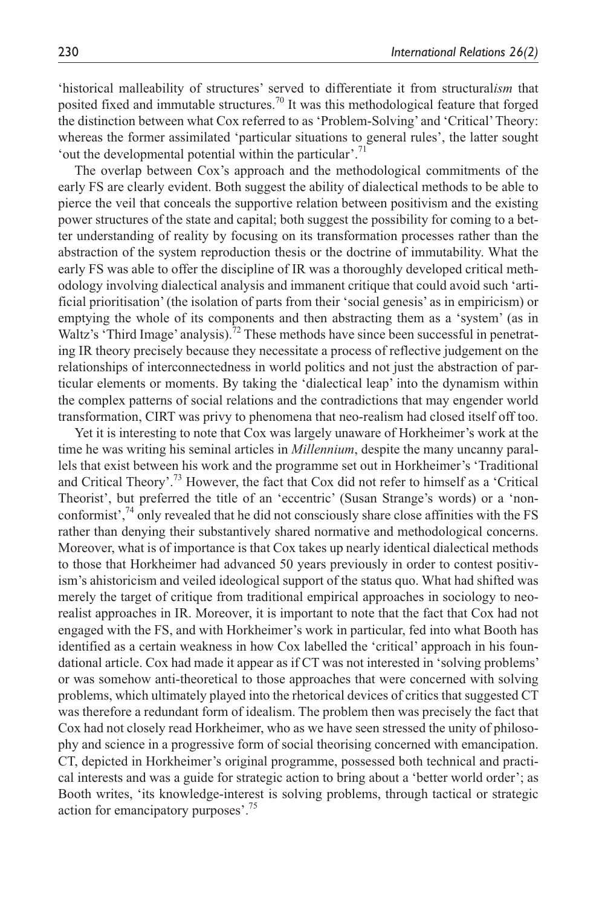'historical malleability of structures' served to differentiate it from structural*ism* that posited fixed and immutable structures.<sup>70</sup> It was this methodological feature that forged the distinction between what Cox referred to as 'Problem-Solving' and 'Critical' Theory: whereas the former assimilated 'particular situations to general rules', the latter sought 'out the developmental potential within the particular'.<sup>71</sup>

The overlap between Cox's approach and the methodological commitments of the early FS are clearly evident. Both suggest the ability of dialectical methods to be able to pierce the veil that conceals the supportive relation between positivism and the existing power structures of the state and capital; both suggest the possibility for coming to a better understanding of reality by focusing on its transformation processes rather than the abstraction of the system reproduction thesis or the doctrine of immutability. What the early FS was able to offer the discipline of IR was a thoroughly developed critical methodology involving dialectical analysis and immanent critique that could avoid such 'artificial prioritisation' (the isolation of parts from their 'social genesis' as in empiricism) or emptying the whole of its components and then abstracting them as a 'system' (as in Waltz's 'Third Image' analysis).<sup>72</sup> These methods have since been successful in penetrating IR theory precisely because they necessitate a process of reflective judgement on the relationships of interconnectedness in world politics and not just the abstraction of particular elements or moments. By taking the 'dialectical leap' into the dynamism within the complex patterns of social relations and the contradictions that may engender world transformation, CIRT was privy to phenomena that neo-realism had closed itself off too.

Yet it is interesting to note that Cox was largely unaware of Horkheimer's work at the time he was writing his seminal articles in *Millennium*, despite the many uncanny parallels that exist between his work and the programme set out in Horkheimer's 'Traditional and Critical Theory'.<sup>73</sup> However, the fact that Cox did not refer to himself as a 'Critical Theorist', but preferred the title of an 'eccentric' (Susan Strange's words) or a 'nonconformist', $74$  only revealed that he did not consciously share close affinities with the FS rather than denying their substantively shared normative and methodological concerns. Moreover, what is of importance is that Cox takes up nearly identical dialectical methods to those that Horkheimer had advanced 50 years previously in order to contest positivism's ahistoricism and veiled ideological support of the status quo. What had shifted was merely the target of critique from traditional empirical approaches in sociology to neorealist approaches in IR. Moreover, it is important to note that the fact that Cox had not engaged with the FS, and with Horkheimer's work in particular, fed into what Booth has identified as a certain weakness in how Cox labelled the 'critical' approach in his foundational article. Cox had made it appear as if CT was not interested in 'solving problems' or was somehow anti-theoretical to those approaches that were concerned with solving problems, which ultimately played into the rhetorical devices of critics that suggested CT was therefore a redundant form of idealism. The problem then was precisely the fact that Cox had not closely read Horkheimer, who as we have seen stressed the unity of philosophy and science in a progressive form of social theorising concerned with emancipation. CT, depicted in Horkheimer's original programme, possessed both technical and practical interests and was a guide for strategic action to bring about a 'better world order'; as Booth writes, 'its knowledge-interest is solving problems, through tactical or strategic action for emancipatory purposes'.<sup>75</sup>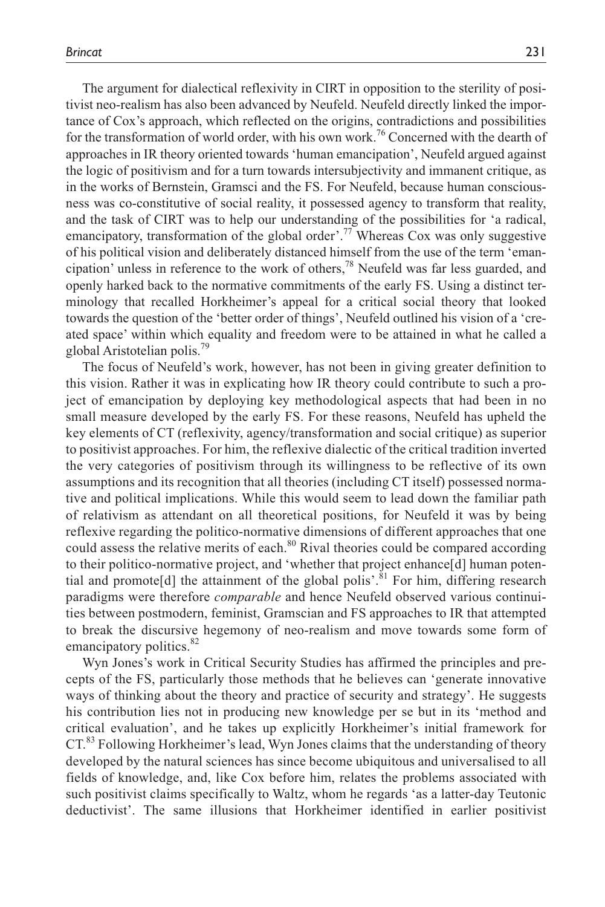The argument for dialectical reflexivity in CIRT in opposition to the sterility of positivist neo-realism has also been advanced by Neufeld. Neufeld directly linked the importance of Cox's approach, which reflected on the origins, contradictions and possibilities for the transformation of world order, with his own work.<sup>76</sup> Concerned with the dearth of approaches in IR theory oriented towards 'human emancipation', Neufeld argued against the logic of positivism and for a turn towards intersubjectivity and immanent critique, as in the works of Bernstein, Gramsci and the FS. For Neufeld, because human consciousness was co-constitutive of social reality, it possessed agency to transform that reality, and the task of CIRT was to help our understanding of the possibilities for 'a radical, emancipatory, transformation of the global order'.<sup>77</sup> Whereas Cox was only suggestive of his political vision and deliberately distanced himself from the use of the term 'emancipation' unless in reference to the work of others, $^{78}$  Neufeld was far less guarded, and openly harked back to the normative commitments of the early FS. Using a distinct terminology that recalled Horkheimer's appeal for a critical social theory that looked towards the question of the 'better order of things', Neufeld outlined his vision of a 'created space' within which equality and freedom were to be attained in what he called a global Aristotelian polis.<sup>79</sup>

The focus of Neufeld's work, however, has not been in giving greater definition to this vision. Rather it was in explicating how IR theory could contribute to such a project of emancipation by deploying key methodological aspects that had been in no small measure developed by the early FS. For these reasons, Neufeld has upheld the key elements of CT (reflexivity, agency/transformation and social critique) as superior to positivist approaches. For him, the reflexive dialectic of the critical tradition inverted the very categories of positivism through its willingness to be reflective of its own assumptions and its recognition that all theories (including CT itself) possessed normative and political implications. While this would seem to lead down the familiar path of relativism as attendant on all theoretical positions, for Neufeld it was by being reflexive regarding the politico-normative dimensions of different approaches that one could assess the relative merits of each.<sup>80</sup> Rival theories could be compared according to their politico-normative project, and 'whether that project enhance[d] human potential and promote<sup>[d]</sup> the attainment of the global polis'.<sup>81</sup> For him, differing research paradigms were therefore *comparable* and hence Neufeld observed various continuities between postmodern, feminist, Gramscian and FS approaches to IR that attempted to break the discursive hegemony of neo-realism and move towards some form of emancipatory politics.<sup>82</sup>

Wyn Jones's work in Critical Security Studies has affirmed the principles and precepts of the FS, particularly those methods that he believes can 'generate innovative ways of thinking about the theory and practice of security and strategy'. He suggests his contribution lies not in producing new knowledge per se but in its 'method and critical evaluation', and he takes up explicitly Horkheimer's initial framework for CT.83 Following Horkheimer's lead, Wyn Jones claims that the understanding of theory developed by the natural sciences has since become ubiquitous and universalised to all fields of knowledge, and, like Cox before him, relates the problems associated with such positivist claims specifically to Waltz, whom he regards 'as a latter-day Teutonic deductivist'. The same illusions that Horkheimer identified in earlier positivist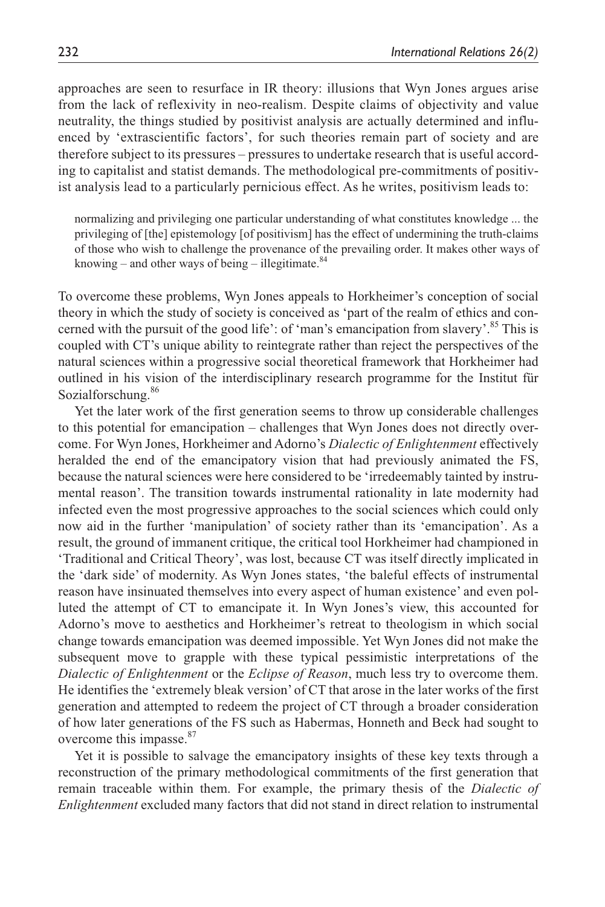approaches are seen to resurface in IR theory: illusions that Wyn Jones argues arise from the lack of reflexivity in neo-realism. Despite claims of objectivity and value neutrality, the things studied by positivist analysis are actually determined and influenced by 'extrascientific factors', for such theories remain part of society and are therefore subject to its pressures – pressures to undertake research that is useful according to capitalist and statist demands. The methodological pre-commitments of positivist analysis lead to a particularly pernicious effect. As he writes, positivism leads to:

normalizing and privileging one particular understanding of what constitutes knowledge ... the privileging of [the] epistemology [of positivism] has the effect of undermining the truth-claims of those who wish to challenge the provenance of the prevailing order. It makes other ways of knowing – and other ways of being – illegitimate. $84$ 

To overcome these problems, Wyn Jones appeals to Horkheimer's conception of social theory in which the study of society is conceived as 'part of the realm of ethics and concerned with the pursuit of the good life': of 'man's emancipation from slavery'.<sup>85</sup> This is coupled with CT's unique ability to reintegrate rather than reject the perspectives of the natural sciences within a progressive social theoretical framework that Horkheimer had outlined in his vision of the interdisciplinary research programme for the Institut für Sozialforschung.<sup>86</sup>

Yet the later work of the first generation seems to throw up considerable challenges to this potential for emancipation – challenges that Wyn Jones does not directly overcome. For Wyn Jones, Horkheimer and Adorno's *Dialectic of Enlightenment* effectively heralded the end of the emancipatory vision that had previously animated the FS, because the natural sciences were here considered to be 'irredeemably tainted by instrumental reason'. The transition towards instrumental rationality in late modernity had infected even the most progressive approaches to the social sciences which could only now aid in the further 'manipulation' of society rather than its 'emancipation'. As a result, the ground of immanent critique, the critical tool Horkheimer had championed in 'Traditional and Critical Theory', was lost, because CT was itself directly implicated in the 'dark side' of modernity. As Wyn Jones states, 'the baleful effects of instrumental reason have insinuated themselves into every aspect of human existence' and even polluted the attempt of CT to emancipate it. In Wyn Jones's view, this accounted for Adorno's move to aesthetics and Horkheimer's retreat to theologism in which social change towards emancipation was deemed impossible. Yet Wyn Jones did not make the subsequent move to grapple with these typical pessimistic interpretations of the *Dialectic of Enlightenment* or the *Eclipse of Reason*, much less try to overcome them. He identifies the 'extremely bleak version' of CT that arose in the later works of the first generation and attempted to redeem the project of CT through a broader consideration of how later generations of the FS such as Habermas, Honneth and Beck had sought to overcome this impasse.<sup>87</sup>

Yet it is possible to salvage the emancipatory insights of these key texts through a reconstruction of the primary methodological commitments of the first generation that remain traceable within them. For example, the primary thesis of the *Dialectic of Enlightenment* excluded many factors that did not stand in direct relation to instrumental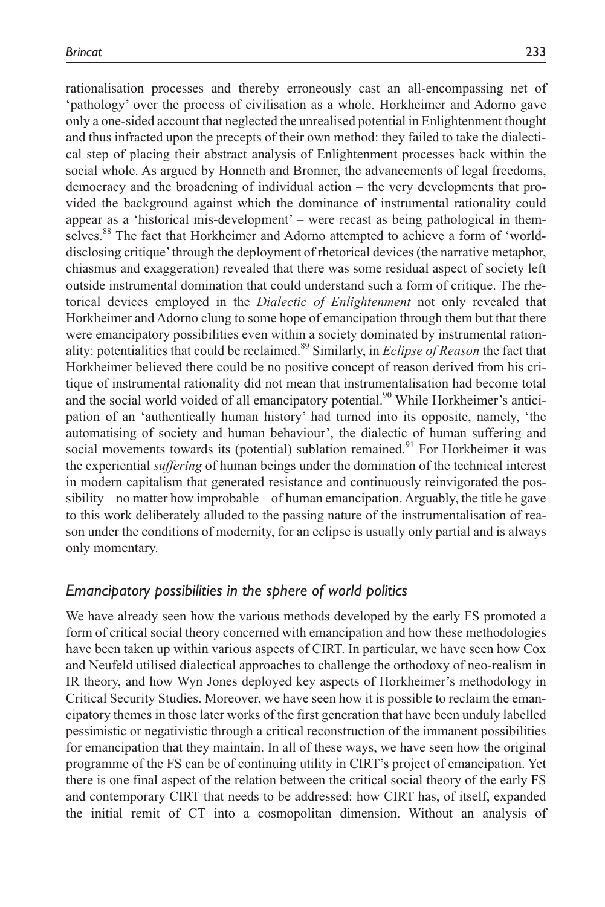rationalisation processes and thereby erroneously cast an all-encompassing net of 'pathology' over the process of civilisation as a whole. Horkheimer and Adorno gave only a one-sided account that neglected the unrealised potential in Enlightenment thought and thus infracted upon the precepts of their own method: they failed to take the dialectical step of placing their abstract analysis of Enlightenment processes back within the social whole. As argued by Honneth and Bronner, the advancements of legal freedoms, democracy and the broadening of individual action – the very developments that provided the background against which the dominance of instrumental rationality could appear as a 'historical mis-development' – were recast as being pathological in themselves.<sup>88</sup> The fact that Horkheimer and Adorno attempted to achieve a form of 'worlddisclosing critique' through the deployment of rhetorical devices (the narrative metaphor, chiasmus and exaggeration) revealed that there was some residual aspect of society left outside instrumental domination that could understand such a form of critique. The rhetorical devices employed in the *Dialectic of Enlightenment* not only revealed that Horkheimer and Adorno clung to some hope of emancipation through them but that there were emancipatory possibilities even within a society dominated by instrumental rationality: potentialities that could be reclaimed.89 Similarly, in *Eclipse of Reason* the fact that Horkheimer believed there could be no positive concept of reason derived from his critique of instrumental rationality did not mean that instrumentalisation had become total and the social world voided of all emancipatory potential.<sup>90</sup> While Horkheimer's anticipation of an 'authentically human history' had turned into its opposite, namely, 'the automatising of society and human behaviour', the dialectic of human suffering and social movements towards its (potential) sublation remained.<sup>91</sup> For Horkheimer it was the experiential *suffering* of human beings under the domination of the technical interest in modern capitalism that generated resistance and continuously reinvigorated the possibility – no matter how improbable – of human emancipation. Arguably, the title he gave to this work deliberately alluded to the passing nature of the instrumentalisation of reason under the conditions of modernity, for an eclipse is usually only partial and is always only momentary.

# *Emancipatory possibilities in the sphere of world politics*

We have already seen how the various methods developed by the early FS promoted a form of critical social theory concerned with emancipation and how these methodologies have been taken up within various aspects of CIRT. In particular, we have seen how Cox and Neufeld utilised dialectical approaches to challenge the orthodoxy of neo-realism in IR theory, and how Wyn Jones deployed key aspects of Horkheimer's methodology in Critical Security Studies. Moreover, we have seen how it is possible to reclaim the emancipatory themes in those later works of the first generation that have been unduly labelled pessimistic or negativistic through a critical reconstruction of the immanent possibilities for emancipation that they maintain. In all of these ways, we have seen how the original programme of the FS can be of continuing utility in CIRT's project of emancipation. Yet there is one final aspect of the relation between the critical social theory of the early FS and contemporary CIRT that needs to be addressed: how CIRT has, of itself, expanded the initial remit of CT into a cosmopolitan dimension. Without an analysis of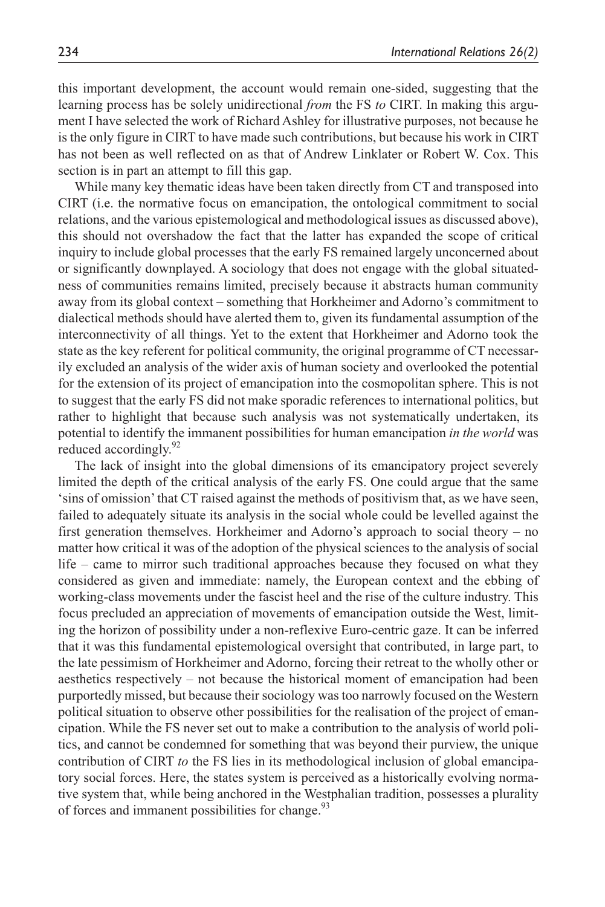this important development, the account would remain one-sided, suggesting that the learning process has be solely unidirectional *from* the FS *to* CIRT. In making this argument I have selected the work of Richard Ashley for illustrative purposes, not because he is the only figure in CIRT to have made such contributions, but because his work in CIRT has not been as well reflected on as that of Andrew Linklater or Robert W. Cox. This section is in part an attempt to fill this gap.

While many key thematic ideas have been taken directly from CT and transposed into CIRT (i.e. the normative focus on emancipation, the ontological commitment to social relations, and the various epistemological and methodological issues as discussed above), this should not overshadow the fact that the latter has expanded the scope of critical inquiry to include global processes that the early FS remained largely unconcerned about or significantly downplayed. A sociology that does not engage with the global situatedness of communities remains limited, precisely because it abstracts human community away from its global context – something that Horkheimer and Adorno's commitment to dialectical methods should have alerted them to, given its fundamental assumption of the interconnectivity of all things. Yet to the extent that Horkheimer and Adorno took the state as the key referent for political community, the original programme of CT necessarily excluded an analysis of the wider axis of human society and overlooked the potential for the extension of its project of emancipation into the cosmopolitan sphere. This is not to suggest that the early FS did not make sporadic references to international politics, but rather to highlight that because such analysis was not systematically undertaken, its potential to identify the immanent possibilities for human emancipation *in the world* was reduced accordingly.<sup>92</sup>

The lack of insight into the global dimensions of its emancipatory project severely limited the depth of the critical analysis of the early FS. One could argue that the same 'sins of omission' that CT raised against the methods of positivism that, as we have seen, failed to adequately situate its analysis in the social whole could be levelled against the first generation themselves. Horkheimer and Adorno's approach to social theory – no matter how critical it was of the adoption of the physical sciences to the analysis of social life – came to mirror such traditional approaches because they focused on what they considered as given and immediate: namely, the European context and the ebbing of working-class movements under the fascist heel and the rise of the culture industry. This focus precluded an appreciation of movements of emancipation outside the West, limiting the horizon of possibility under a non-reflexive Euro-centric gaze. It can be inferred that it was this fundamental epistemological oversight that contributed, in large part, to the late pessimism of Horkheimer and Adorno, forcing their retreat to the wholly other or aesthetics respectively – not because the historical moment of emancipation had been purportedly missed, but because their sociology was too narrowly focused on the Western political situation to observe other possibilities for the realisation of the project of emancipation. While the FS never set out to make a contribution to the analysis of world politics, and cannot be condemned for something that was beyond their purview, the unique contribution of CIRT *to* the FS lies in its methodological inclusion of global emancipatory social forces. Here, the states system is perceived as a historically evolving normative system that, while being anchored in the Westphalian tradition, possesses a plurality of forces and immanent possibilities for change.<sup>93</sup>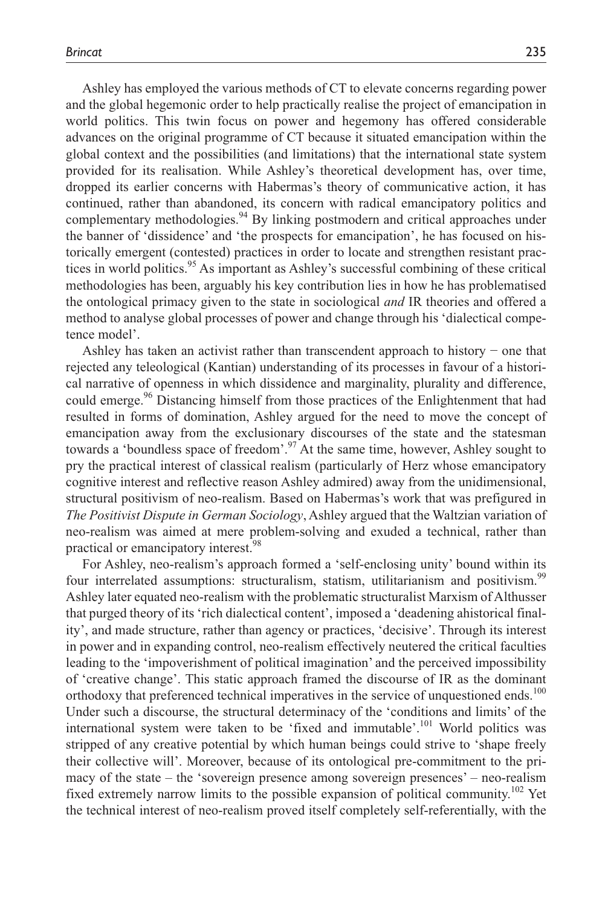Ashley has employed the various methods of CT to elevate concerns regarding power and the global hegemonic order to help practically realise the project of emancipation in world politics. This twin focus on power and hegemony has offered considerable advances on the original programme of CT because it situated emancipation within the global context and the possibilities (and limitations) that the international state system provided for its realisation. While Ashley's theoretical development has, over time, dropped its earlier concerns with Habermas's theory of communicative action, it has continued, rather than abandoned, its concern with radical emancipatory politics and complementary methodologies.<sup>94</sup> By linking postmodern and critical approaches under the banner of 'dissidence' and 'the prospects for emancipation', he has focused on historically emergent (contested) practices in order to locate and strengthen resistant practices in world politics.<sup>95</sup> As important as Ashley's successful combining of these critical methodologies has been, arguably his key contribution lies in how he has problematised the ontological primacy given to the state in sociological *and* IR theories and offered a method to analyse global processes of power and change through his 'dialectical competence model'.

Ashley has taken an activist rather than transcendent approach to history − one that rejected any teleological (Kantian) understanding of its processes in favour of a historical narrative of openness in which dissidence and marginality, plurality and difference, could emerge.<sup>96</sup> Distancing himself from those practices of the Enlightenment that had resulted in forms of domination, Ashley argued for the need to move the concept of emancipation away from the exclusionary discourses of the state and the statesman towards a 'boundless space of freedom'.<sup>97</sup> At the same time, however, Ashley sought to pry the practical interest of classical realism (particularly of Herz whose emancipatory cognitive interest and reflective reason Ashley admired) away from the unidimensional, structural positivism of neo-realism. Based on Habermas's work that was prefigured in *The Positivist Dispute in German Sociology*, Ashley argued that the Waltzian variation of neo-realism was aimed at mere problem-solving and exuded a technical, rather than practical or emancipatory interest.<sup>98</sup>

For Ashley, neo-realism's approach formed a 'self-enclosing unity' bound within its four interrelated assumptions: structuralism, statism, utilitarianism and positivism.<sup>99</sup> Ashley later equated neo-realism with the problematic structuralist Marxism of Althusser that purged theory of its 'rich dialectical content', imposed a 'deadening ahistorical finality', and made structure, rather than agency or practices, 'decisive'. Through its interest in power and in expanding control, neo-realism effectively neutered the critical faculties leading to the 'impoverishment of political imagination' and the perceived impossibility of 'creative change'. This static approach framed the discourse of IR as the dominant orthodoxy that preferenced technical imperatives in the service of unquestioned ends.<sup>100</sup> Under such a discourse, the structural determinacy of the 'conditions and limits' of the international system were taken to be 'fixed and immutable'.101 World politics was stripped of any creative potential by which human beings could strive to 'shape freely their collective will'. Moreover, because of its ontological pre-commitment to the primacy of the state – the 'sovereign presence among sovereign presences' – neo-realism fixed extremely narrow limits to the possible expansion of political community.<sup>102</sup> Yet the technical interest of neo-realism proved itself completely self-referentially, with the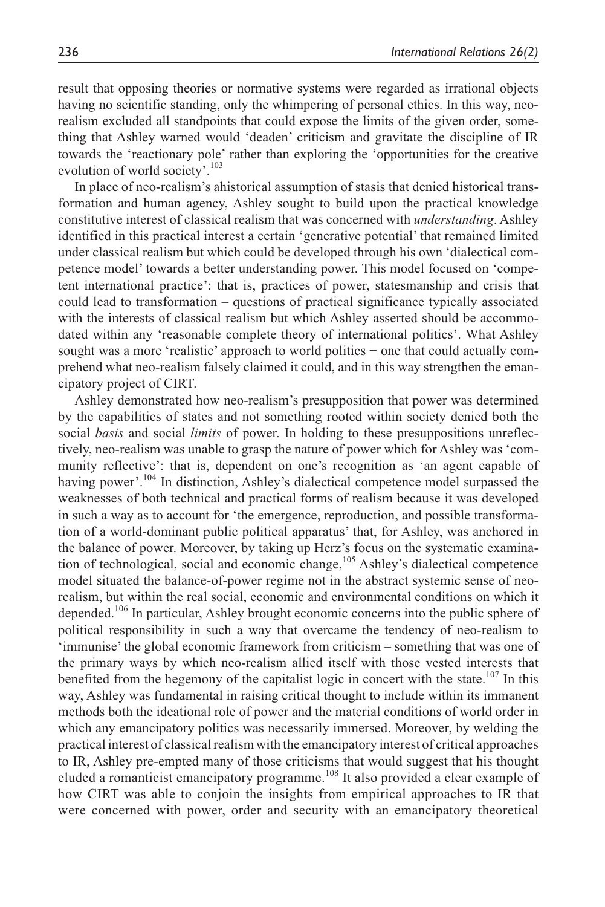result that opposing theories or normative systems were regarded as irrational objects having no scientific standing, only the whimpering of personal ethics. In this way, neorealism excluded all standpoints that could expose the limits of the given order, something that Ashley warned would 'deaden' criticism and gravitate the discipline of IR towards the 'reactionary pole' rather than exploring the 'opportunities for the creative evolution of world society'. $103$ 

In place of neo-realism's ahistorical assumption of stasis that denied historical transformation and human agency, Ashley sought to build upon the practical knowledge constitutive interest of classical realism that was concerned with *understanding*. Ashley identified in this practical interest a certain 'generative potential' that remained limited under classical realism but which could be developed through his own 'dialectical competence model' towards a better understanding power. This model focused on 'competent international practice': that is, practices of power, statesmanship and crisis that could lead to transformation – questions of practical significance typically associated with the interests of classical realism but which Ashley asserted should be accommodated within any 'reasonable complete theory of international politics'. What Ashley sought was a more 'realistic' approach to world politics – one that could actually comprehend what neo-realism falsely claimed it could, and in this way strengthen the emancipatory project of CIRT.

Ashley demonstrated how neo-realism's presupposition that power was determined by the capabilities of states and not something rooted within society denied both the social *basis* and social *limits* of power. In holding to these presuppositions unreflectively, neo-realism was unable to grasp the nature of power which for Ashley was 'community reflective': that is, dependent on one's recognition as 'an agent capable of having power'.<sup>104</sup> In distinction, Ashley's dialectical competence model surpassed the weaknesses of both technical and practical forms of realism because it was developed in such a way as to account for 'the emergence, reproduction, and possible transformation of a world-dominant public political apparatus' that, for Ashley, was anchored in the balance of power. Moreover, by taking up Herz's focus on the systematic examination of technological, social and economic change,<sup>105</sup> Ashley's dialectical competence model situated the balance-of-power regime not in the abstract systemic sense of neorealism, but within the real social, economic and environmental conditions on which it depended.<sup>106</sup> In particular, Ashley brought economic concerns into the public sphere of political responsibility in such a way that overcame the tendency of neo-realism to 'immunise' the global economic framework from criticism – something that was one of the primary ways by which neo-realism allied itself with those vested interests that benefited from the hegemony of the capitalist logic in concert with the state.<sup>107</sup> In this way, Ashley was fundamental in raising critical thought to include within its immanent methods both the ideational role of power and the material conditions of world order in which any emancipatory politics was necessarily immersed. Moreover, by welding the practical interest of classical realism with the emancipatory interest of critical approaches to IR, Ashley pre-empted many of those criticisms that would suggest that his thought eluded a romanticist emancipatory programme.<sup>108</sup> It also provided a clear example of how CIRT was able to conjoin the insights from empirical approaches to IR that were concerned with power, order and security with an emancipatory theoretical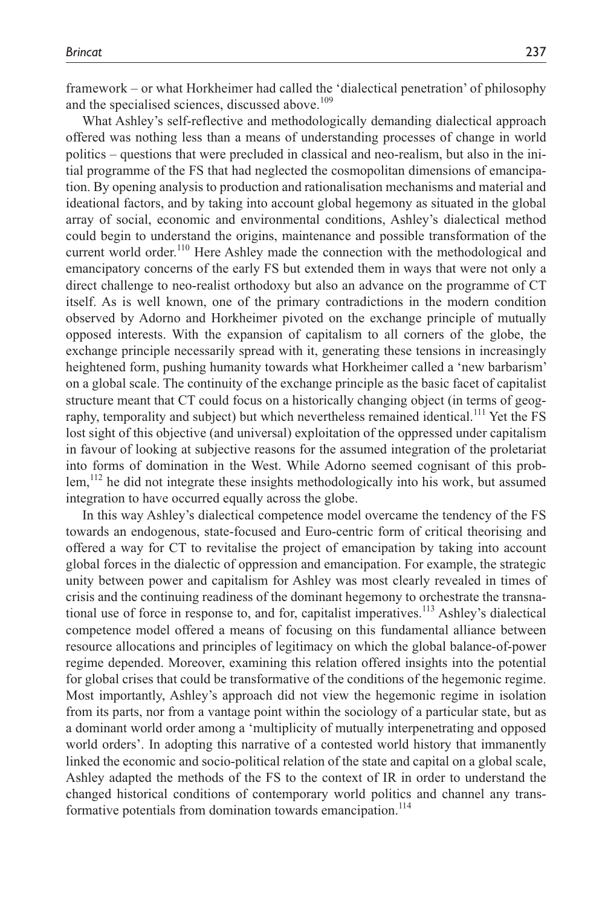framework – or what Horkheimer had called the 'dialectical penetration' of philosophy and the specialised sciences, discussed above.<sup>109</sup>

What Ashley's self-reflective and methodologically demanding dialectical approach offered was nothing less than a means of understanding processes of change in world politics – questions that were precluded in classical and neo-realism, but also in the initial programme of the FS that had neglected the cosmopolitan dimensions of emancipation. By opening analysis to production and rationalisation mechanisms and material and ideational factors, and by taking into account global hegemony as situated in the global array of social, economic and environmental conditions, Ashley's dialectical method could begin to understand the origins, maintenance and possible transformation of the current world order.<sup>110</sup> Here Ashley made the connection with the methodological and emancipatory concerns of the early FS but extended them in ways that were not only a direct challenge to neo-realist orthodoxy but also an advance on the programme of CT itself. As is well known, one of the primary contradictions in the modern condition observed by Adorno and Horkheimer pivoted on the exchange principle of mutually opposed interests. With the expansion of capitalism to all corners of the globe, the exchange principle necessarily spread with it, generating these tensions in increasingly heightened form, pushing humanity towards what Horkheimer called a 'new barbarism' on a global scale. The continuity of the exchange principle as the basic facet of capitalist structure meant that CT could focus on a historically changing object (in terms of geography, temporality and subject) but which nevertheless remained identical.<sup>111</sup> Yet the FS lost sight of this objective (and universal) exploitation of the oppressed under capitalism in favour of looking at subjective reasons for the assumed integration of the proletariat into forms of domination in the West. While Adorno seemed cognisant of this problem,<sup>112</sup> he did not integrate these insights methodologically into his work, but assumed integration to have occurred equally across the globe.

In this way Ashley's dialectical competence model overcame the tendency of the FS towards an endogenous, state-focused and Euro-centric form of critical theorising and offered a way for CT to revitalise the project of emancipation by taking into account global forces in the dialectic of oppression and emancipation. For example, the strategic unity between power and capitalism for Ashley was most clearly revealed in times of crisis and the continuing readiness of the dominant hegemony to orchestrate the transnational use of force in response to, and for, capitalist imperatives.<sup>113</sup> Ashley's dialectical competence model offered a means of focusing on this fundamental alliance between resource allocations and principles of legitimacy on which the global balance-of-power regime depended. Moreover, examining this relation offered insights into the potential for global crises that could be transformative of the conditions of the hegemonic regime. Most importantly, Ashley's approach did not view the hegemonic regime in isolation from its parts, nor from a vantage point within the sociology of a particular state, but as a dominant world order among a 'multiplicity of mutually interpenetrating and opposed world orders'. In adopting this narrative of a contested world history that immanently linked the economic and socio-political relation of the state and capital on a global scale, Ashley adapted the methods of the FS to the context of IR in order to understand the changed historical conditions of contemporary world politics and channel any transformative potentials from domination towards emancipation.<sup>114</sup>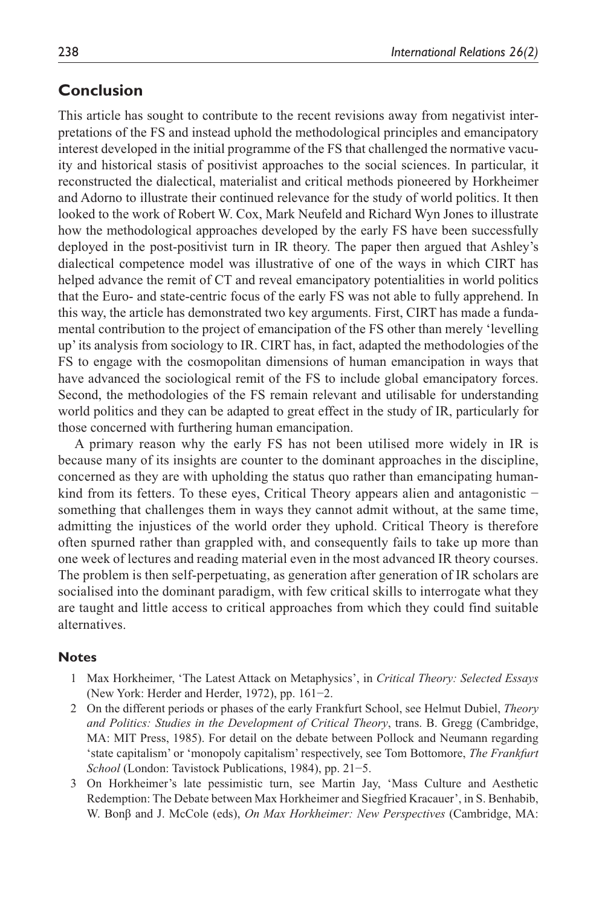### **Conclusion**

This article has sought to contribute to the recent revisions away from negativist interpretations of the FS and instead uphold the methodological principles and emancipatory interest developed in the initial programme of the FS that challenged the normative vacuity and historical stasis of positivist approaches to the social sciences. In particular, it reconstructed the dialectical, materialist and critical methods pioneered by Horkheimer and Adorno to illustrate their continued relevance for the study of world politics. It then looked to the work of Robert W. Cox, Mark Neufeld and Richard Wyn Jones to illustrate how the methodological approaches developed by the early FS have been successfully deployed in the post-positivist turn in IR theory. The paper then argued that Ashley's dialectical competence model was illustrative of one of the ways in which CIRT has helped advance the remit of CT and reveal emancipatory potentialities in world politics that the Euro- and state-centric focus of the early FS was not able to fully apprehend. In this way, the article has demonstrated two key arguments. First, CIRT has made a fundamental contribution to the project of emancipation of the FS other than merely 'levelling up' its analysis from sociology to IR. CIRT has, in fact, adapted the methodologies of the FS to engage with the cosmopolitan dimensions of human emancipation in ways that have advanced the sociological remit of the FS to include global emancipatory forces. Second, the methodologies of the FS remain relevant and utilisable for understanding world politics and they can be adapted to great effect in the study of IR, particularly for those concerned with furthering human emancipation.

A primary reason why the early FS has not been utilised more widely in IR is because many of its insights are counter to the dominant approaches in the discipline, concerned as they are with upholding the status quo rather than emancipating humankind from its fetters. To these eyes, Critical Theory appears alien and antagonistic − something that challenges them in ways they cannot admit without, at the same time, admitting the injustices of the world order they uphold. Critical Theory is therefore often spurned rather than grappled with, and consequently fails to take up more than one week of lectures and reading material even in the most advanced IR theory courses. The problem is then self-perpetuating, as generation after generation of IR scholars are socialised into the dominant paradigm, with few critical skills to interrogate what they are taught and little access to critical approaches from which they could find suitable alternatives.

#### **Notes**

- 1 Max Horkheimer, 'The Latest Attack on Metaphysics', in *Critical Theory: Selected Essays* (New York: Herder and Herder, 1972), pp. 161−2.
- 2 On the different periods or phases of the early Frankfurt School, see Helmut Dubiel, *Theory and Politics: Studies in the Development of Critical Theory*, trans. B. Gregg (Cambridge, MA: MIT Press, 1985). For detail on the debate between Pollock and Neumann regarding 'state capitalism' or 'monopoly capitalism' respectively, see Tom Bottomore, *The Frankfurt School* (London: Tavistock Publications, 1984), pp. 21−5.
- 3 On Horkheimer's late pessimistic turn, see Martin Jay, 'Mass Culture and Aesthetic Redemption: The Debate between Max Horkheimer and Siegfried Kracauer', in S. Benhabib, W. Bonβ and J. McCole (eds), *On Max Horkheimer: New Perspectives* (Cambridge, MA: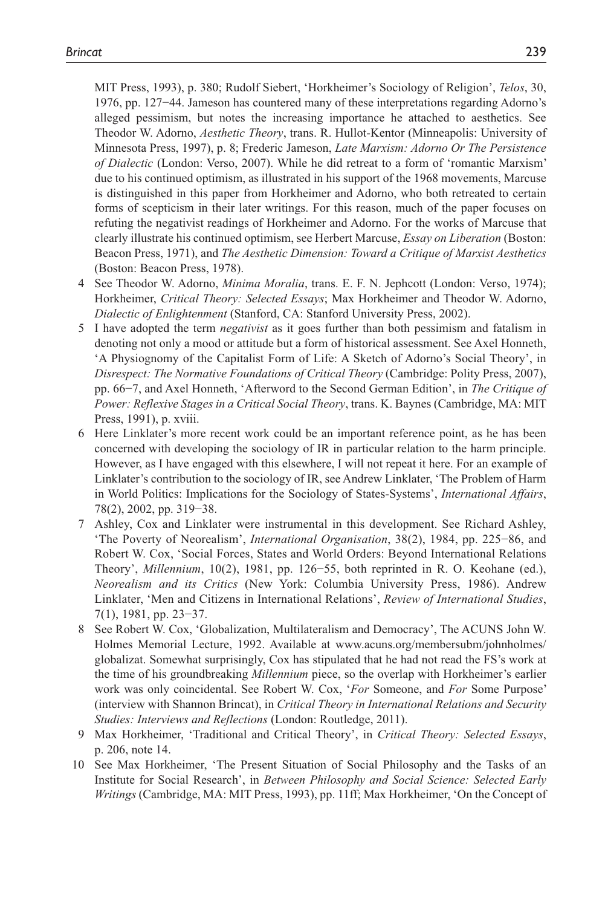MIT Press, 1993), p. 380; Rudolf Siebert, 'Horkheimer's Sociology of Religion', *Telos*, 30, 1976, pp. 127−44. Jameson has countered many of these interpretations regarding Adorno's alleged pessimism, but notes the increasing importance he attached to aesthetics. See Theodor W. Adorno, *Aesthetic Theory*, trans. R. Hullot-Kentor (Minneapolis: University of Minnesota Press, 1997), p. 8; Frederic Jameson, *Late Marxism: Adorno Or The Persistence of Dialectic* (London: Verso, 2007). While he did retreat to a form of 'romantic Marxism' due to his continued optimism, as illustrated in his support of the 1968 movements, Marcuse is distinguished in this paper from Horkheimer and Adorno, who both retreated to certain forms of scepticism in their later writings. For this reason, much of the paper focuses on refuting the negativist readings of Horkheimer and Adorno. For the works of Marcuse that clearly illustrate his continued optimism, see Herbert Marcuse, *Essay on Liberation* (Boston: Beacon Press, 1971), and *The Aesthetic Dimension: Toward a Critique of Marxist Aesthetics* (Boston: Beacon Press, 1978).

- 4 See Theodor W. Adorno, *Minima Moralia*, trans. E. F. N. Jephcott (London: Verso, 1974); Horkheimer, *Critical Theory: Selected Essays*; Max Horkheimer and Theodor W. Adorno, *Dialectic of Enlightenment* (Stanford, CA: Stanford University Press, 2002).
- 5 I have adopted the term *negativist* as it goes further than both pessimism and fatalism in denoting not only a mood or attitude but a form of historical assessment. See Axel Honneth, 'A Physiognomy of the Capitalist Form of Life: A Sketch of Adorno's Social Theory', in *Disrespect: The Normative Foundations of Critical Theory* (Cambridge: Polity Press, 2007), pp. 66−7, and Axel Honneth, 'Afterword to the Second German Edition', in *The Critique of Power: Reflexive Stages in a Critical Social Theory*, trans. K. Baynes (Cambridge, MA: MIT Press, 1991), p. xviii.
- 6 Here Linklater's more recent work could be an important reference point, as he has been concerned with developing the sociology of IR in particular relation to the harm principle. However, as I have engaged with this elsewhere, I will not repeat it here. For an example of Linklater's contribution to the sociology of IR, see Andrew Linklater, 'The Problem of Harm in World Politics: Implications for the Sociology of States-Systems', *International Affairs*, 78(2), 2002, pp. 319−38.
- 7 Ashley, Cox and Linklater were instrumental in this development. See Richard Ashley, 'The Poverty of Neorealism', *International Organisation*, 38(2), 1984, pp. 225−86, and Robert W. Cox, 'Social Forces, States and World Orders: Beyond International Relations Theory', *Millennium*, 10(2), 1981, pp. 126−55, both reprinted in R. O. Keohane (ed.), *Neorealism and its Critics* (New York: Columbia University Press, 1986). Andrew Linklater, 'Men and Citizens in International Relations', *Review of International Studies*, 7(1), 1981, pp. 23−37.
- 8 See Robert W. Cox, 'Globalization, Multilateralism and Democracy', The ACUNS John W. Holmes Memorial Lecture, 1992. Available at www.acuns.org/membersubm/johnholmes/ globalizat. Somewhat surprisingly, Cox has stipulated that he had not read the FS's work at the time of his groundbreaking *Millennium* piece, so the overlap with Horkheimer's earlier work was only coincidental. See Robert W. Cox, '*For* Someone, and *For* Some Purpose' (interview with Shannon Brincat), in *Critical Theory in International Relations and Security Studies: Interviews and Reflections* (London: Routledge, 2011).
- 9 Max Horkheimer, 'Traditional and Critical Theory', in *Critical Theory: Selected Essays*, p. 206, note 14.
- 10 See Max Horkheimer, 'The Present Situation of Social Philosophy and the Tasks of an Institute for Social Research', in *Between Philosophy and Social Science: Selected Early Writings* (Cambridge, MA: MIT Press, 1993), pp. 11ff; Max Horkheimer, 'On the Concept of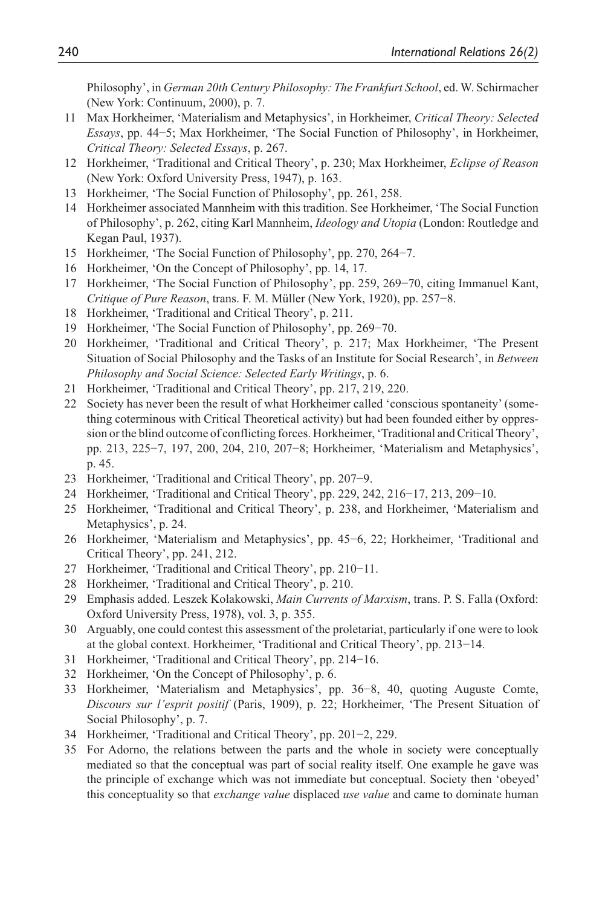Philosophy', in *German 20th Century Philosophy: The Frankfurt School*, ed. W. Schirmacher (New York: Continuum, 2000), p. 7.

- 11 Max Horkheimer, 'Materialism and Metaphysics', in Horkheimer, *Critical Theory: Selected Essays*, pp. 44−5; Max Horkheimer, 'The Social Function of Philosophy', in Horkheimer, *Critical Theory: Selected Essays*, p. 267.
- 12 Horkheimer, 'Traditional and Critical Theory', p. 230; Max Horkheimer, *Eclipse of Reason* (New York: Oxford University Press, 1947), p. 163.
- 13 Horkheimer, 'The Social Function of Philosophy', pp. 261, 258.
- 14 Horkheimer associated Mannheim with this tradition. See Horkheimer, 'The Social Function of Philosophy', p. 262, citing Karl Mannheim, *Ideology and Utopia* (London: Routledge and Kegan Paul, 1937).
- 15 Horkheimer, 'The Social Function of Philosophy', pp. 270, 264−7.
- 16 Horkheimer, 'On the Concept of Philosophy', pp. 14, 17.
- 17 Horkheimer, 'The Social Function of Philosophy', pp. 259, 269−70, citing Immanuel Kant, *Critique of Pure Reason*, trans. F. M. Müller (New York, 1920), pp. 257−8.
- 18 Horkheimer, 'Traditional and Critical Theory', p. 211.
- 19 Horkheimer, 'The Social Function of Philosophy', pp. 269−70.
- 20 Horkheimer, 'Traditional and Critical Theory', p. 217; Max Horkheimer, 'The Present Situation of Social Philosophy and the Tasks of an Institute for Social Research', in *Between Philosophy and Social Science: Selected Early Writings*, p. 6.
- 21 Horkheimer, 'Traditional and Critical Theory', pp. 217, 219, 220.
- 22 Society has never been the result of what Horkheimer called 'conscious spontaneity' (something coterminous with Critical Theoretical activity) but had been founded either by oppression or the blind outcome of conflicting forces. Horkheimer, 'Traditional and Critical Theory', pp. 213, 225−7, 197, 200, 204, 210, 207−8; Horkheimer, 'Materialism and Metaphysics', p. 45.
- 23 Horkheimer, 'Traditional and Critical Theory', pp. 207−9.
- 24 Horkheimer, 'Traditional and Critical Theory', pp. 229, 242, 216−17, 213, 209−10.
- 25 Horkheimer, 'Traditional and Critical Theory', p. 238, and Horkheimer, 'Materialism and Metaphysics', p. 24.
- 26 Horkheimer, 'Materialism and Metaphysics', pp. 45−6, 22; Horkheimer, 'Traditional and Critical Theory', pp. 241, 212.
- 27 Horkheimer, 'Traditional and Critical Theory', pp. 210−11.
- 28 Horkheimer, 'Traditional and Critical Theory', p. 210.
- 29 Emphasis added. Leszek Kolakowski, *Main Currents of Marxism*, trans. P. S. Falla (Oxford: Oxford University Press, 1978), vol. 3, p. 355.
- 30 Arguably, one could contest this assessment of the proletariat, particularly if one were to look at the global context. Horkheimer, 'Traditional and Critical Theory', pp. 213−14.
- 31 Horkheimer, 'Traditional and Critical Theory', pp. 214−16.
- 32 Horkheimer, 'On the Concept of Philosophy', p. 6.
- 33 Horkheimer, 'Materialism and Metaphysics', pp. 36−8, 40, quoting Auguste Comte, *Discours sur l'esprit positif* (Paris, 1909), p. 22; Horkheimer, 'The Present Situation of Social Philosophy', p. 7.
- 34 Horkheimer, 'Traditional and Critical Theory', pp. 201−2, 229.
- 35 For Adorno, the relations between the parts and the whole in society were conceptually mediated so that the conceptual was part of social reality itself. One example he gave was the principle of exchange which was not immediate but conceptual. Society then 'obeyed' this conceptuality so that *exchange value* displaced *use value* and came to dominate human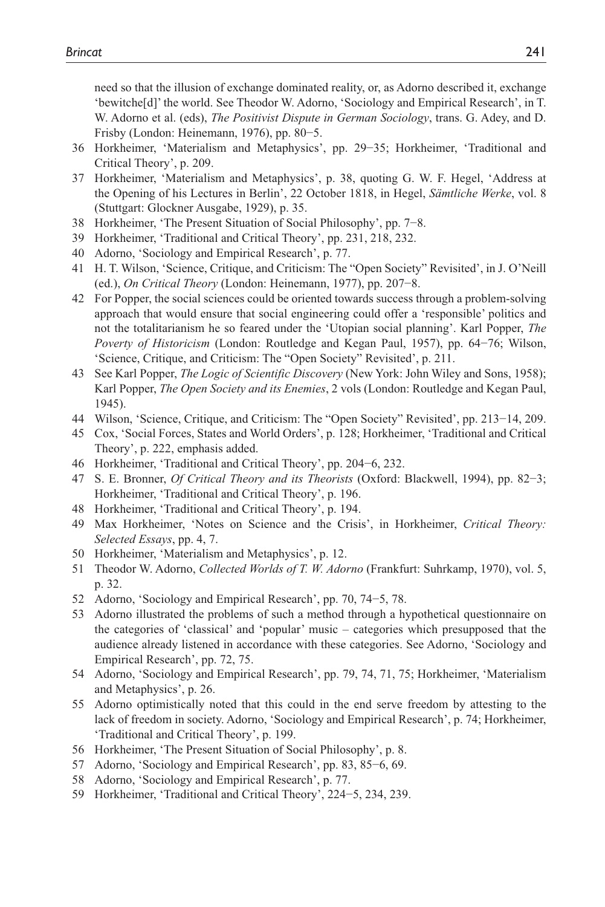need so that the illusion of exchange dominated reality, or, as Adorno described it, exchange 'bewitche[d]' the world. See Theodor W. Adorno, 'Sociology and Empirical Research', in T. W. Adorno et al. (eds), *The Positivist Dispute in German Sociology*, trans. G. Adey, and D. Frisby (London: Heinemann, 1976), pp. 80−5.

- 36 Horkheimer, 'Materialism and Metaphysics', pp. 29−35; Horkheimer, 'Traditional and Critical Theory', p. 209.
- 37 Horkheimer, 'Materialism and Metaphysics', p. 38, quoting G. W. F. Hegel, 'Address at the Opening of his Lectures in Berlin', 22 October 1818, in Hegel, *Sämtliche Werke*, vol. 8 (Stuttgart: Glockner Ausgabe, 1929), p. 35.
- 38 Horkheimer, 'The Present Situation of Social Philosophy', pp. 7−8.
- 39 Horkheimer, 'Traditional and Critical Theory', pp. 231, 218, 232.
- 40 Adorno, 'Sociology and Empirical Research', p. 77.
- 41 H. T. Wilson, 'Science, Critique, and Criticism: The "Open Society" Revisited', in J. O'Neill (ed.), *On Critical Theory* (London: Heinemann, 1977), pp. 207−8.
- 42 For Popper, the social sciences could be oriented towards success through a problem-solving approach that would ensure that social engineering could offer a 'responsible' politics and not the totalitarianism he so feared under the 'Utopian social planning'. Karl Popper, *The Poverty of Historicism* (London: Routledge and Kegan Paul, 1957), pp. 64−76; Wilson, 'Science, Critique, and Criticism: The "Open Society" Revisited', p. 211.
- 43 See Karl Popper, *The Logic of Scientific Discovery* (New York: John Wiley and Sons, 1958); Karl Popper, *The Open Society and its Enemies*, 2 vols (London: Routledge and Kegan Paul, 1945).
- 44 Wilson, 'Science, Critique, and Criticism: The "Open Society" Revisited', pp. 213−14, 209.
- 45 Cox, 'Social Forces, States and World Orders', p. 128; Horkheimer, 'Traditional and Critical Theory', p. 222, emphasis added.
- 46 Horkheimer, 'Traditional and Critical Theory', pp. 204−6, 232.
- 47 S. E. Bronner, *Of Critical Theory and its Theorists* (Oxford: Blackwell, 1994), pp. 82−3; Horkheimer, 'Traditional and Critical Theory', p. 196.
- 48 Horkheimer, 'Traditional and Critical Theory', p. 194.
- 49 Max Horkheimer, 'Notes on Science and the Crisis', in Horkheimer, *Critical Theory: Selected Essays*, pp. 4, 7.
- 50 Horkheimer, 'Materialism and Metaphysics', p. 12.
- 51 Theodor W. Adorno, *Collected Worlds of T. W. Adorno* (Frankfurt: Suhrkamp, 1970), vol. 5, p. 32.
- 52 Adorno, 'Sociology and Empirical Research', pp. 70, 74−5, 78.
- 53 Adorno illustrated the problems of such a method through a hypothetical questionnaire on the categories of 'classical' and 'popular' music – categories which presupposed that the audience already listened in accordance with these categories. See Adorno, 'Sociology and Empirical Research', pp. 72, 75.
- 54 Adorno, 'Sociology and Empirical Research', pp. 79, 74, 71, 75; Horkheimer, 'Materialism and Metaphysics', p. 26.
- 55 Adorno optimistically noted that this could in the end serve freedom by attesting to the lack of freedom in society. Adorno, 'Sociology and Empirical Research', p. 74; Horkheimer, 'Traditional and Critical Theory', p. 199.
- 56 Horkheimer, 'The Present Situation of Social Philosophy', p. 8.
- 57 Adorno, 'Sociology and Empirical Research', pp. 83, 85−6, 69.
- 58 Adorno, 'Sociology and Empirical Research', p. 77.
- 59 Horkheimer, 'Traditional and Critical Theory', 224−5, 234, 239.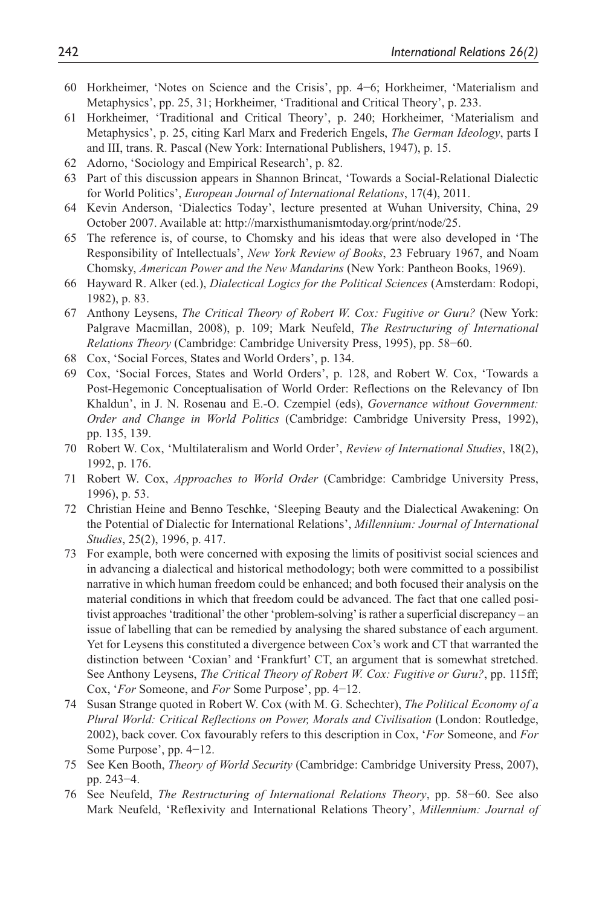- 60 Horkheimer, 'Notes on Science and the Crisis', pp. 4−6; Horkheimer, 'Materialism and Metaphysics', pp. 25, 31; Horkheimer, 'Traditional and Critical Theory', p. 233.
- 61 Horkheimer, 'Traditional and Critical Theory', p. 240; Horkheimer, 'Materialism and Metaphysics', p. 25, citing Karl Marx and Frederich Engels, *The German Ideology*, parts I and III, trans. R. Pascal (New York: International Publishers, 1947), p. 15.
- 62 Adorno, 'Sociology and Empirical Research', p. 82.
- 63 Part of this discussion appears in Shannon Brincat, 'Towards a Social-Relational Dialectic for World Politics', *European Journal of International Relations*, 17(4), 2011.
- 64 Kevin Anderson, 'Dialectics Today', lecture presented at Wuhan University, China, 29 October 2007. Available at: http://marxisthumanismtoday.org/print/node/25.
- 65 The reference is, of course, to Chomsky and his ideas that were also developed in 'The Responsibility of Intellectuals', *New York Review of Books*, 23 February 1967, and Noam Chomsky, *American Power and the New Mandarins* (New York: Pantheon Books, 1969).
- 66 Hayward R. Alker (ed.), *Dialectical Logics for the Political Sciences* (Amsterdam: Rodopi, 1982), p. 83.
- 67 Anthony Leysens, *The Critical Theory of Robert W. Cox: Fugitive or Guru?* (New York: Palgrave Macmillan, 2008), p. 109; Mark Neufeld, *The Restructuring of International Relations Theory* (Cambridge: Cambridge University Press, 1995), pp. 58−60.
- 68 Cox, 'Social Forces, States and World Orders', p. 134.
- 69 Cox, 'Social Forces, States and World Orders', p. 128, and Robert W. Cox, 'Towards a Post-Hegemonic Conceptualisation of World Order: Reflections on the Relevancy of Ibn Khaldun', in J. N. Rosenau and E.-O. Czempiel (eds), *Governance without Government: Order and Change in World Politics* (Cambridge: Cambridge University Press, 1992), pp. 135, 139.
- 70 Robert W. Cox, 'Multilateralism and World Order', *Review of International Studies*, 18(2), 1992, p. 176.
- 71 Robert W. Cox, *Approaches to World Order* (Cambridge: Cambridge University Press, 1996), p. 53.
- 72 Christian Heine and Benno Teschke, 'Sleeping Beauty and the Dialectical Awakening: On the Potential of Dialectic for International Relations', *Millennium: Journal of International Studies*, 25(2), 1996, p. 417.
- 73 For example, both were concerned with exposing the limits of positivist social sciences and in advancing a dialectical and historical methodology; both were committed to a possibilist narrative in which human freedom could be enhanced; and both focused their analysis on the material conditions in which that freedom could be advanced. The fact that one called positivist approaches 'traditional' the other 'problem-solving' is rather a superficial discrepancy – an issue of labelling that can be remedied by analysing the shared substance of each argument. Yet for Leysens this constituted a divergence between Cox's work and CT that warranted the distinction between 'Coxian' and 'Frankfurt' CT, an argument that is somewhat stretched. See Anthony Leysens, *The Critical Theory of Robert W. Cox: Fugitive or Guru?*, pp. 115ff; Cox, '*For* Someone, and *For* Some Purpose', pp. 4−12.
- 74 Susan Strange quoted in Robert W. Cox (with M. G. Schechter), *The Political Economy of a Plural World: Critical Reflections on Power, Morals and Civilisation* (London: Routledge, 2002), back cover. Cox favourably refers to this description in Cox, '*For* Someone, and *For* Some Purpose', pp. 4−12.
- 75 See Ken Booth, *Theory of World Security* (Cambridge: Cambridge University Press, 2007), pp. 243−4.
- 76 See Neufeld, *The Restructuring of International Relations Theory*, pp. 58−60. See also Mark Neufeld, 'Reflexivity and International Relations Theory', *Millennium: Journal of*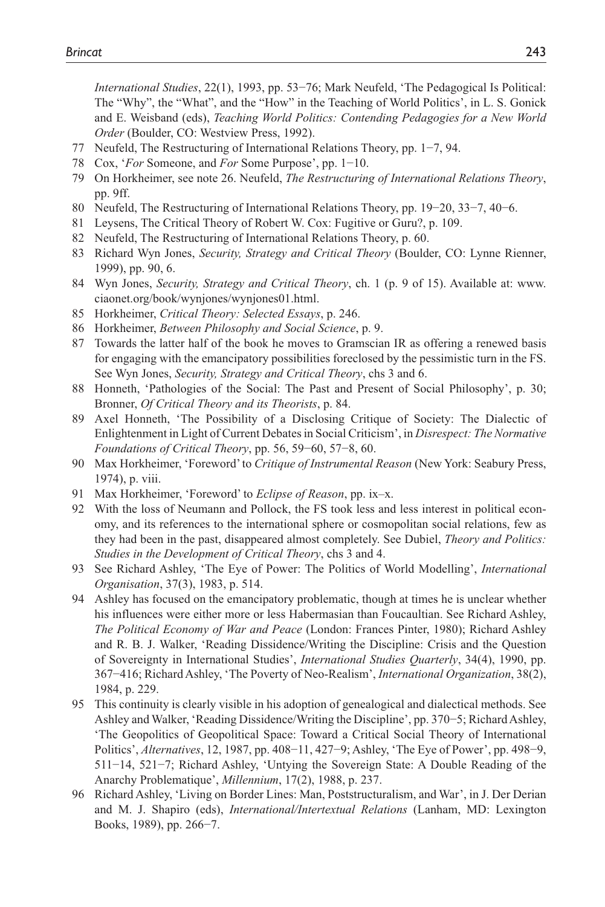*International Studies*, 22(1), 1993, pp. 53−76; Mark Neufeld, 'The Pedagogical Is Political: The "Why", the "What", and the "How" in the Teaching of World Politics', in L. S. Gonick and E. Weisband (eds), *Teaching World Politics: Contending Pedagogies for a New World Order* (Boulder, CO: Westview Press, 1992).

- 77 Neufeld, The Restructuring of International Relations Theory, pp. 1−7, 94.
- 78 Cox, '*For* Someone, and *For* Some Purpose', pp. 1−10.
- 79 On Horkheimer, see note 26. Neufeld, *The Restructuring of International Relations Theory*, pp. 9ff.
- 80 Neufeld, The Restructuring of International Relations Theory, pp. 19−20, 33−7, 40−6.
- 81 Leysens, The Critical Theory of Robert W. Cox: Fugitive or Guru?, p. 109.
- 82 Neufeld, The Restructuring of International Relations Theory, p. 60.
- 83 Richard Wyn Jones, *Security, Strategy and Critical Theory* (Boulder, CO: Lynne Rienner, 1999), pp. 90, 6.
- 84 Wyn Jones, *Security, Strategy and Critical Theory*, ch. 1 (p. 9 of 15). Available at: www. ciaonet.org/book/wynjones/wynjones01.html.
- 85 Horkheimer, *Critical Theory: Selected Essays*, p. 246.
- 86 Horkheimer, *Between Philosophy and Social Science*, p. 9.
- 87 Towards the latter half of the book he moves to Gramscian IR as offering a renewed basis for engaging with the emancipatory possibilities foreclosed by the pessimistic turn in the FS. See Wyn Jones, *Security, Strategy and Critical Theory*, chs 3 and 6.
- 88 Honneth, 'Pathologies of the Social: The Past and Present of Social Philosophy', p. 30; Bronner, *Of Critical Theory and its Theorists*, p. 84.
- 89 Axel Honneth, 'The Possibility of a Disclosing Critique of Society: The Dialectic of Enlightenment in Light of Current Debates in Social Criticism', in *Disrespect: The Normative Foundations of Critical Theory*, pp. 56, 59−60, 57−8, 60.
- 90 Max Horkheimer, 'Foreword' to *Critique of Instrumental Reason* (New York: Seabury Press, 1974), p. viii.
- 91 Max Horkheimer, 'Foreword' to *Eclipse of Reason*, pp. ix–x.
- 92 With the loss of Neumann and Pollock, the FS took less and less interest in political economy, and its references to the international sphere or cosmopolitan social relations, few as they had been in the past, disappeared almost completely. See Dubiel, *Theory and Politics: Studies in the Development of Critical Theory*, chs 3 and 4.
- 93 See Richard Ashley, 'The Eye of Power: The Politics of World Modelling', *International Organisation*, 37(3), 1983, p. 514.
- 94 Ashley has focused on the emancipatory problematic, though at times he is unclear whether his influences were either more or less Habermasian than Foucaultian. See Richard Ashley, *The Political Economy of War and Peace* (London: Frances Pinter, 1980); Richard Ashley and R. B. J. Walker, 'Reading Dissidence/Writing the Discipline: Crisis and the Question of Sovereignty in International Studies', *International Studies Quarterly*, 34(4), 1990, pp. 367−416; Richard Ashley, 'The Poverty of Neo-Realism', *International Organization*, 38(2), 1984, p. 229.
- 95 This continuity is clearly visible in his adoption of genealogical and dialectical methods. See Ashley and Walker, 'Reading Dissidence/Writing the Discipline', pp. 370−5; Richard Ashley, 'The Geopolitics of Geopolitical Space: Toward a Critical Social Theory of International Politics', *Alternatives*, 12, 1987, pp. 408−11, 427−9; Ashley, 'The Eye of Power', pp. 498−9, 511−14, 521−7; Richard Ashley, 'Untying the Sovereign State: A Double Reading of the Anarchy Problematique', *Millennium*, 17(2), 1988, p. 237.
- 96 Richard Ashley, 'Living on Border Lines: Man, Poststructuralism, and War', in J. Der Derian and M. J. Shapiro (eds), *International/Intertextual Relations* (Lanham, MD: Lexington Books, 1989), pp. 266−7.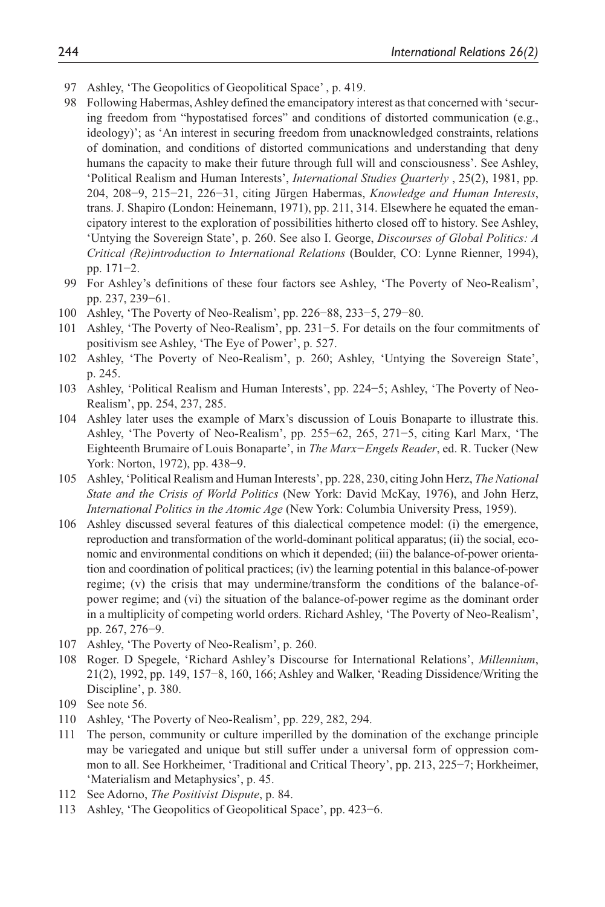- 97 Ashley, 'The Geopolitics of Geopolitical Space' , p. 419.
- 98 Following Habermas, Ashley defined the emancipatory interest as that concerned with 'securing freedom from "hypostatised forces" and conditions of distorted communication (e.g., ideology)'; as 'An interest in securing freedom from unacknowledged constraints, relations of domination, and conditions of distorted communications and understanding that deny humans the capacity to make their future through full will and consciousness'. See Ashley, 'Political Realism and Human Interests', *International Studies Quarterly* , 25(2), 1981, pp. 204, 208−9, 215−21, 226−31, citing Jürgen Habermas, *Knowledge and Human Interests*, trans. J. Shapiro (London: Heinemann, 1971), pp. 211, 314. Elsewhere he equated the emancipatory interest to the exploration of possibilities hitherto closed off to history. See Ashley, 'Untying the Sovereign State', p. 260. See also I. George, *Discourses of Global Politics: A Critical (Re)introduction to International Relations* (Boulder, CO: Lynne Rienner, 1994), pp. 171−2.
- 99 For Ashley's definitions of these four factors see Ashley, 'The Poverty of Neo-Realism', pp. 237, 239−61.
- 100 Ashley, 'The Poverty of Neo-Realism', pp. 226−88, 233−5, 279−80.
- 101 Ashley, 'The Poverty of Neo-Realism', pp. 231−5. For details on the four commitments of positivism see Ashley, 'The Eye of Power', p. 527.
- 102 Ashley, 'The Poverty of Neo-Realism', p. 260; Ashley, 'Untying the Sovereign State', p. 245.
- 103 Ashley, 'Political Realism and Human Interests', pp. 224−5; Ashley, 'The Poverty of Neo-Realism', pp. 254, 237, 285.
- 104 Ashley later uses the example of Marx's discussion of Louis Bonaparte to illustrate this. Ashley, 'The Poverty of Neo-Realism', pp. 255−62, 265, 271−5, citing Karl Marx, 'The Eighteenth Brumaire of Louis Bonaparte', in *The Marx−Engels Reader*, ed. R. Tucker (New York: Norton, 1972), pp. 438−9.
- 105 Ashley, 'Political Realism and Human Interests', pp. 228, 230, citing John Herz, *The National State and the Crisis of World Politics* (New York: David McKay, 1976), and John Herz, *International Politics in the Atomic Age* (New York: Columbia University Press, 1959).
- 106 Ashley discussed several features of this dialectical competence model: (i) the emergence, reproduction and transformation of the world-dominant political apparatus; (ii) the social, economic and environmental conditions on which it depended; (iii) the balance-of-power orientation and coordination of political practices; (iv) the learning potential in this balance-of-power regime; (v) the crisis that may undermine/transform the conditions of the balance-ofpower regime; and (vi) the situation of the balance-of-power regime as the dominant order in a multiplicity of competing world orders. Richard Ashley, 'The Poverty of Neo-Realism', pp. 267, 276−9.
- 107 Ashley, 'The Poverty of Neo-Realism', p. 260.
- 108 Roger. D Spegele, 'Richard Ashley's Discourse for International Relations', *Millennium*, 21(2), 1992, pp. 149, 157−8, 160, 166; Ashley and Walker, 'Reading Dissidence/Writing the Discipline', p. 380.
- 109 See note 56.
- 110 Ashley, 'The Poverty of Neo-Realism', pp. 229, 282, 294.
- 111 The person, community or culture imperilled by the domination of the exchange principle may be variegated and unique but still suffer under a universal form of oppression common to all. See Horkheimer, 'Traditional and Critical Theory', pp. 213, 225−7; Horkheimer, 'Materialism and Metaphysics', p. 45.
- 112 See Adorno, *The Positivist Dispute*, p. 84.
- 113 Ashley, 'The Geopolitics of Geopolitical Space', pp. 423−6.